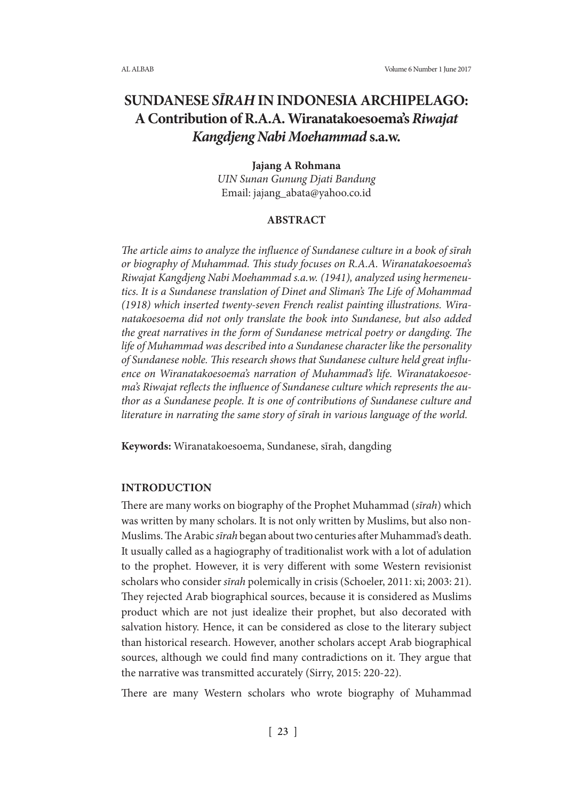# **SUNDANESE** *SĪRAH* **IN INDONESIA ARCHIPELAGO: A Contribution of R.A.A. Wiranatakoesoema's** *Riwajat Kangdjeng Nabi Moehammad* **s.a.w.**

### **Jajang A Rohmana**

*UIN Sunan Gunung Djati Bandung* Email: jajang\_abata@yahoo.co.id

### **ABSTRACT**

*The article aims to analyze the influence of Sundanese culture in a book of sīrah or biography of Muhammad. This study focuses on R.A.A. Wiranatakoesoema's Riwajat Kangdjeng Nabi Moehammad s.a.w. (1941), analyzed using hermeneutics. It is a Sundanese translation of Dinet and Sliman's The Life of Mohammad (1918) which inserted twenty-seven French realist painting illustrations. Wiranatakoesoema did not only translate the book into Sundanese, but also added the great narratives in the form of Sundanese metrical poetry or dangding. The life of Muhammad was described into a Sundanese character like the personality of Sundanese noble. This research shows that Sundanese culture held great influence on Wiranatakoesoema's narration of Muhammad's life. Wiranatakoesoema's Riwajat reflects the influence of Sundanese culture which represents the author as a Sundanese people. It is one of contributions of Sundanese culture and literature in narrating the same story of sīrah in various language of the world.*

**Keywords:** Wiranatakoesoema, Sundanese, sīrah, dangding

### **INTRODUCTION**

There are many works on biography of the Prophet Muhammad (*sīrah*) which was written by many scholars. It is not only written by Muslims, but also non-Muslims. The Arabic *sīrah* began about two centuries after Muhammad's death. It usually called as a hagiography of traditionalist work with a lot of adulation to the prophet. However, it is very different with some Western revisionist scholars who consider *sīrah* polemically in crisis (Schoeler, 2011: xi; 2003: 21). They rejected Arab biographical sources, because it is considered as Muslims product which are not just idealize their prophet, but also decorated with salvation history. Hence, it can be considered as close to the literary subject than historical research. However, another scholars accept Arab biographical sources, although we could find many contradictions on it. They argue that the narrative was transmitted accurately (Sirry, 2015: 220-22).

There are many Western scholars who wrote biography of Muhammad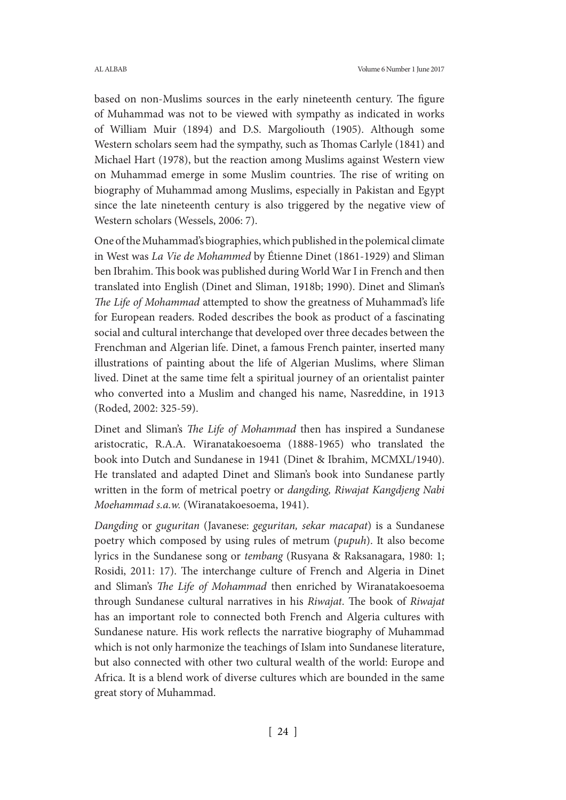based on non-Muslims sources in the early nineteenth century. The figure of Muhammad was not to be viewed with sympathy as indicated in works of William Muir (1894) and D.S. Margoliouth (1905). Although some Western scholars seem had the sympathy, such as Thomas Carlyle (1841) and Michael Hart (1978), but the reaction among Muslims against Western view on Muhammad emerge in some Muslim countries. The rise of writing on biography of Muhammad among Muslims, especially in Pakistan and Egypt since the late nineteenth century is also triggered by the negative view of Western scholars (Wessels, 2006: 7).

One of the Muhammad's biographies, which published in the polemical climate in West was *La Vie de Mohammed* by Étienne Dinet (1861-1929) and Sliman ben Ibrahim. This book was published during World War I in French and then translated into English (Dinet and Sliman, 1918b; 1990). Dinet and Sliman's *The Life of Mohammad* attempted to show the greatness of Muhammad's life for European readers. Roded describes the book as product of a fascinating social and cultural interchange that developed over three decades between the Frenchman and Algerian life. Dinet, a famous French painter, inserted many illustrations of painting about the life of Algerian Muslims, where Sliman lived. Dinet at the same time felt a spiritual journey of an orientalist painter who converted into a Muslim and changed his name, Nasreddine, in 1913 (Roded, 2002: 325-59).

Dinet and Sliman's *The Life of Mohammad* then has inspired a Sundanese aristocratic, R.A.A. Wiranatakoesoema (1888-1965) who translated the book into Dutch and Sundanese in 1941 (Dinet & Ibrahim, MCMXL/1940). He translated and adapted Dinet and Sliman's book into Sundanese partly written in the form of metrical poetry or *dangding, Riwajat Kangdjeng Nabi Moehammad s.a.w.* (Wiranatakoesoema, 1941).

*Dangding* or *guguritan* (Javanese: *geguritan, sekar macapat*) is a Sundanese poetry which composed by using rules of metrum (*pupuh*). It also become lyrics in the Sundanese song or *tembang* (Rusyana & Raksanagara, 1980: 1; Rosidi, 2011: 17). The interchange culture of French and Algeria in Dinet and Sliman's *The Life of Mohammad* then enriched by Wiranatakoesoema through Sundanese cultural narratives in his *Riwajat*. The book of *Riwajat*  has an important role to connected both French and Algeria cultures with Sundanese nature. His work reflects the narrative biography of Muhammad which is not only harmonize the teachings of Islam into Sundanese literature, but also connected with other two cultural wealth of the world: Europe and Africa. It is a blend work of diverse cultures which are bounded in the same great story of Muhammad.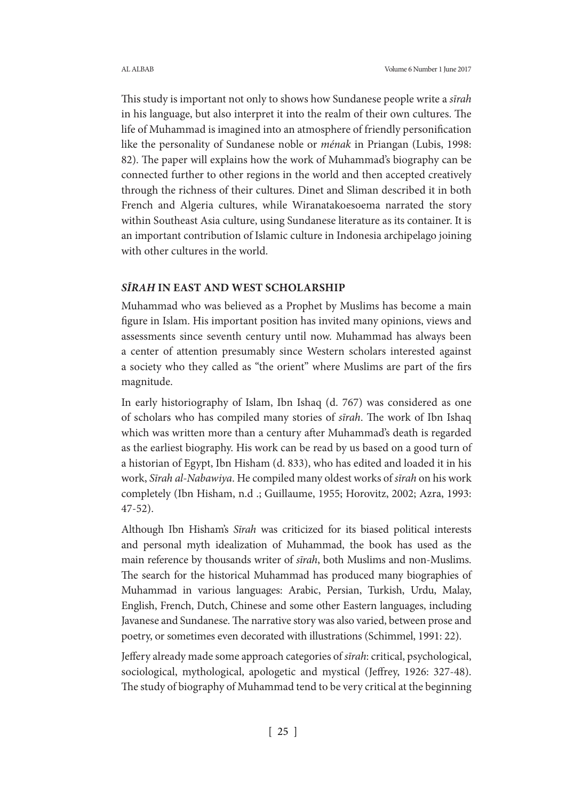This study is important not only to shows how Sundanese people write a *sīrah*  in his language, but also interpret it into the realm of their own cultures. The life of Muhammad is imagined into an atmosphere of friendly personification like the personality of Sundanese noble or *ménak* in Priangan (Lubis, 1998: 82). The paper will explains how the work of Muhammad's biography can be connected further to other regions in the world and then accepted creatively through the richness of their cultures. Dinet and Sliman described it in both French and Algeria cultures, while Wiranatakoesoema narrated the story within Southeast Asia culture, using Sundanese literature as its container. It is an important contribution of Islamic culture in Indonesia archipelago joining with other cultures in the world.

### *SĪRAH* **IN EAST AND WEST SCHOLARSHIP**

Muhammad who was believed as a Prophet by Muslims has become a main figure in Islam. His important position has invited many opinions, views and assessments since seventh century until now. Muhammad has always been a center of attention presumably since Western scholars interested against a society who they called as "the orient" where Muslims are part of the firs magnitude.

In early historiography of Islam, Ibn Ishaq (d. 767) was considered as one of scholars who has compiled many stories of *sīrah*. The work of Ibn Ishaq which was written more than a century after Muhammad's death is regarded as the earliest biography. His work can be read by us based on a good turn of a historian of Egypt, Ibn Hisham (d. 833), who has edited and loaded it in his work, *Sīrah al-Nabawiya*. He compiled many oldest works of *sīrah* on his work completely (Ibn Hisham, n.d .; Guillaume, 1955; Horovitz, 2002; Azra, 1993: 47-52).

Although Ibn Hisham's *Sīrah* was criticized for its biased political interests and personal myth idealization of Muhammad, the book has used as the main reference by thousands writer of *sīrah*, both Muslims and non-Muslims. The search for the historical Muhammad has produced many biographies of Muhammad in various languages: Arabic, Persian, Turkish, Urdu, Malay, English, French, Dutch, Chinese and some other Eastern languages, including Javanese and Sundanese. The narrative story was also varied, between prose and poetry, or sometimes even decorated with illustrations (Schimmel, 1991: 22).

Jeffery already made some approach categories of *sīrah*: critical, psychological, sociological, mythological, apologetic and mystical (Jeffrey, 1926: 327-48). The study of biography of Muhammad tend to be very critical at the beginning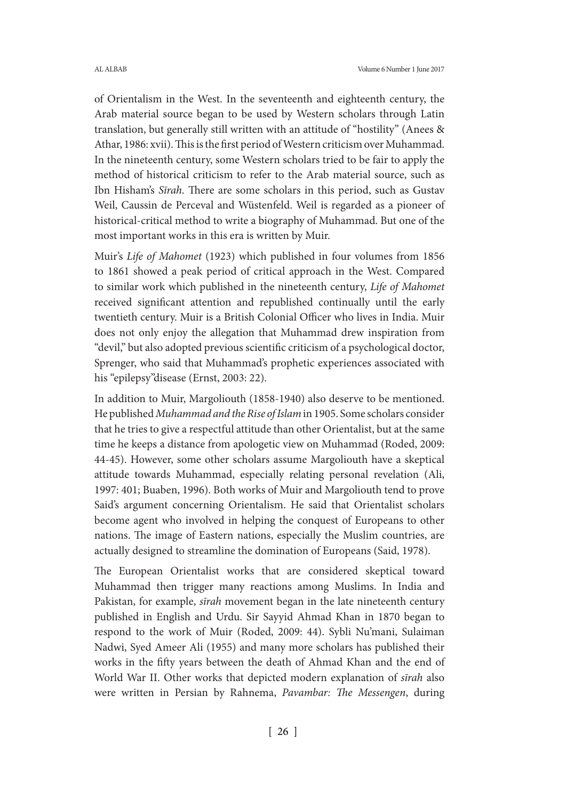of Orientalism in the West. In the seventeenth and eighteenth century, the Arab material source began to be used by Western scholars through Latin translation, but generally still written with an attitude of "hostility" (Anees & Athar, 1986: xvii). This is the first period of Western criticism over Muhammad. In the nineteenth century, some Western scholars tried to be fair to apply the method of historical criticism to refer to the Arab material source, such as Ibn Hisham's *Sīrah*. There are some scholars in this period, such as Gustav Weil, Caussin de Perceval and Wüstenfeld. Weil is regarded as a pioneer of historical-critical method to write a biography of Muhammad. But one of the most important works in this era is written by Muir.

Muir's *Life of Mahomet* (1923) which published in four volumes from 1856 to 1861 showed a peak period of critical approach in the West. Compared to similar work which published in the nineteenth century, *Life of Mahomet* received significant attention and republished continually until the early twentieth century. Muir is a British Colonial Officer who lives in India. Muir does not only enjoy the allegation that Muhammad drew inspiration from "devil," but also adopted previous scientific criticism of a psychological doctor, Sprenger, who said that Muhammad's prophetic experiences associated with his "epilepsy"disease (Ernst, 2003: 22).

In addition to Muir, Margoliouth (1858-1940) also deserve to be mentioned. He published *Muhammad and the Rise of Islam* in 1905. Some scholars consider that he tries to give a respectful attitude than other Orientalist, but at the same time he keeps a distance from apologetic view on Muhammad (Roded, 2009: 44-45). However, some other scholars assume Margoliouth have a skeptical attitude towards Muhammad, especially relating personal revelation (Ali, 1997: 401; Buaben, 1996). Both works of Muir and Margoliouth tend to prove Said's argument concerning Orientalism. He said that Orientalist scholars become agent who involved in helping the conquest of Europeans to other nations. The image of Eastern nations, especially the Muslim countries, are actually designed to streamline the domination of Europeans (Said, 1978).

The European Orientalist works that are considered skeptical toward Muhammad then trigger many reactions among Muslims. In India and Pakistan, for example, *sīrah* movement began in the late nineteenth century published in English and Urdu. Sir Sayyid Ahmad Khan in 1870 began to respond to the work of Muir (Roded, 2009: 44). Sybli Nu'mani, Sulaiman Nadwi, Syed Ameer Ali (1955) and many more scholars has published their works in the fifty years between the death of Ahmad Khan and the end of World War II. Other works that depicted modern explanation of *sīrah* also were written in Persian by Rahnema, *Pavambar: The Messengen*, during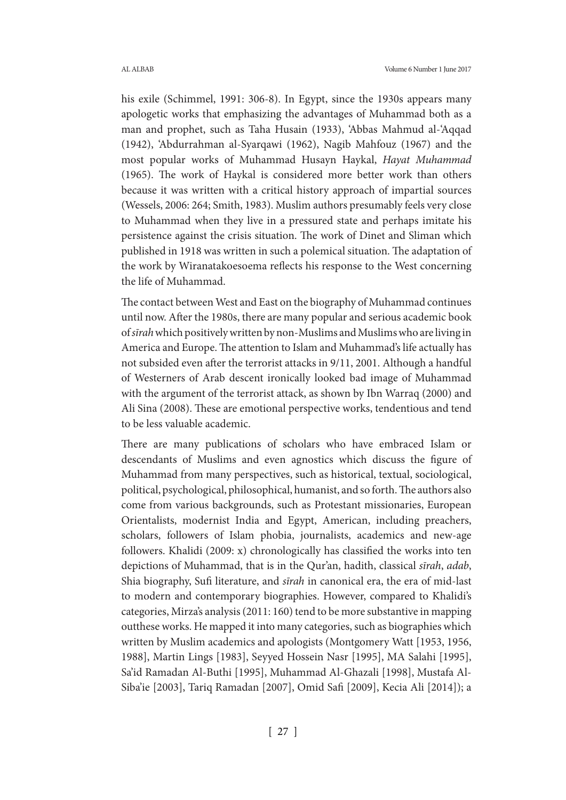his exile (Schimmel, 1991: 306-8). In Egypt, since the 1930s appears many apologetic works that emphasizing the advantages of Muhammad both as a man and prophet, such as Taha Husain (1933), 'Abbas Mahmud al-'Aqqad (1942), 'Abdurrahman al-Syarqawi (1962), Nagib Mahfouz (1967) and the most popular works of Muhammad Husayn Haykal, *Hayat Muhammad* (1965). The work of Haykal is considered more better work than others because it was written with a critical history approach of impartial sources (Wessels, 2006: 264; Smith, 1983). Muslim authors presumably feels very close to Muhammad when they live in a pressured state and perhaps imitate his persistence against the crisis situation. The work of Dinet and Sliman which published in 1918 was written in such a polemical situation. The adaptation of the work by Wiranatakoesoema reflects his response to the West concerning the life of Muhammad.

The contact between West and East on the biography of Muhammad continues until now. After the 1980s, there are many popular and serious academic book of *sīrah* which positively written by non-Muslims and Muslims who are living in America and Europe. The attention to Islam and Muhammad's life actually has not subsided even after the terrorist attacks in 9/11, 2001. Although a handful of Westerners of Arab descent ironically looked bad image of Muhammad with the argument of the terrorist attack, as shown by Ibn Warraq (2000) and Ali Sina (2008). These are emotional perspective works, tendentious and tend to be less valuable academic.

There are many publications of scholars who have embraced Islam or descendants of Muslims and even agnostics which discuss the figure of Muhammad from many perspectives, such as historical, textual, sociological, political, psychological, philosophical, humanist, and so forth. The authors also come from various backgrounds, such as Protestant missionaries, European Orientalists, modernist India and Egypt, American, including preachers, scholars, followers of Islam phobia, journalists, academics and new-age followers. Khalidi (2009: x) chronologically has classified the works into ten depictions of Muhammad, that is in the Qur'an, hadith, classical *sīrah*, *adab*, Shia biography, Sufi literature, and *sīrah* in canonical era, the era of mid-last to modern and contemporary biographies. However, compared to Khalidi's categories, Mirza's analysis (2011: 160) tend to be more substantive in mapping outthese works. He mapped it into many categories, such as biographies which written by Muslim academics and apologists (Montgomery Watt [1953, 1956, 1988], Martin Lings [1983], Seyyed Hossein Nasr [1995], MA Salahi [1995], Sa'id Ramadan Al-Buthi [1995], Muhammad Al-Ghazali [1998], Mustafa Al-Siba'ie [2003], Tariq Ramadan [2007], Omid Safi [2009], Kecia Ali [2014]); a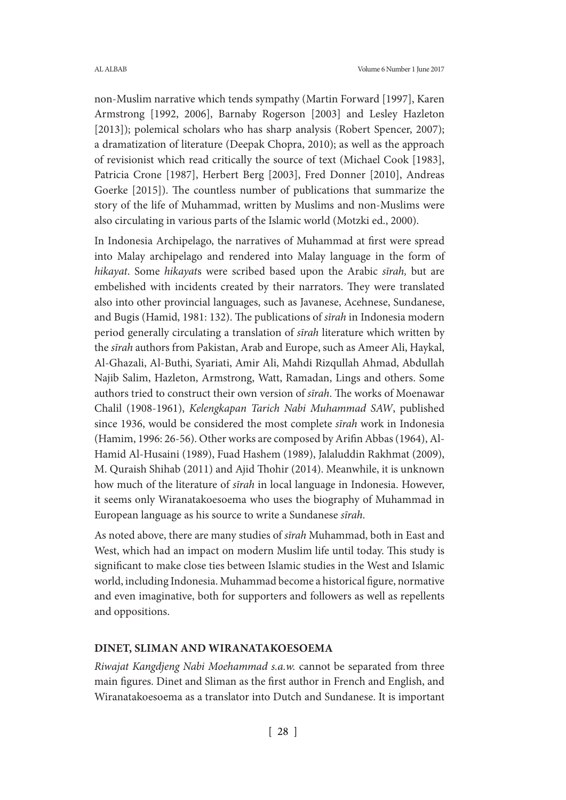non-Muslim narrative which tends sympathy (Martin Forward [1997], Karen Armstrong [1992, 2006], Barnaby Rogerson [2003] and Lesley Hazleton [2013]); polemical scholars who has sharp analysis (Robert Spencer, 2007); a dramatization of literature (Deepak Chopra, 2010); as well as the approach of revisionist which read critically the source of text (Michael Cook [1983], Patricia Crone [1987], Herbert Berg [2003], Fred Donner [2010], Andreas Goerke [2015]). The countless number of publications that summarize the story of the life of Muhammad, written by Muslims and non-Muslims were also circulating in various parts of the Islamic world (Motzki ed., 2000).

In Indonesia Archipelago, the narratives of Muhammad at first were spread into Malay archipelago and rendered into Malay language in the form of *hikayat*. Some *hikayat*s were scribed based upon the Arabic *sīrah,* but are embelished with incidents created by their narrators. They were translated also into other provincial languages, such as Javanese, Acehnese, Sundanese, and Bugis (Hamid, 1981: 132). The publications of *sīrah* in Indonesia modern period generally circulating a translation of *sīrah* literature which written by the *sīrah* authors from Pakistan, Arab and Europe, such as Ameer Ali, Haykal, Al-Ghazali, Al-Buthi, Syariati, Amir Ali, Mahdi Rizqullah Ahmad, Abdullah Najib Salim, Hazleton, Armstrong, Watt, Ramadan, Lings and others. Some authors tried to construct their own version of *sīrah*. The works of Moenawar Chalil (1908-1961), *Kelengkapan Tarich Nabi Muhammad SAW*, published since 1936, would be considered the most complete *sīrah* work in Indonesia (Hamim, 1996: 26-56). Other works are composed by Arifin Abbas (1964), Al-Hamid Al-Husaini (1989), Fuad Hashem (1989), Jalaluddin Rakhmat (2009), M. Quraish Shihab (2011) and Ajid Thohir (2014). Meanwhile, it is unknown how much of the literature of *sīrah* in local language in Indonesia. However, it seems only Wiranatakoesoema who uses the biography of Muhammad in European language as his source to write a Sundanese *sīrah*.

As noted above, there are many studies of *sīrah* Muhammad, both in East and West, which had an impact on modern Muslim life until today. This study is significant to make close ties between Islamic studies in the West and Islamic world, including Indonesia. Muhammad become a historical figure, normative and even imaginative, both for supporters and followers as well as repellents and oppositions.

### **DINET, SLIMAN AND WIRANATAKOESOEMA**

*Riwajat Kangdjeng Nabi Moehammad s.a.w.* cannot be separated from three main figures. Dinet and Sliman as the first author in French and English, and Wiranatakoesoema as a translator into Dutch and Sundanese. It is important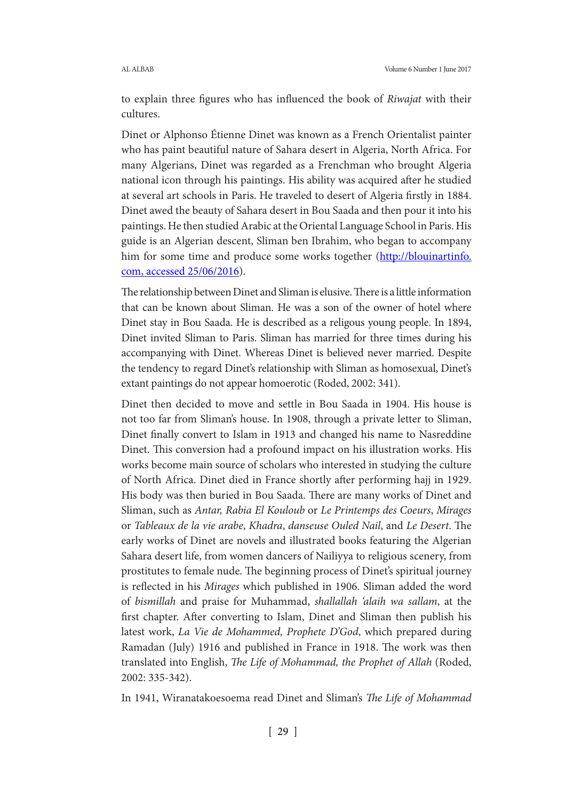to explain three figures who has influenced the book of *Riwajat* with their cultures.

Dinet or Alphonso Étienne Dinet was known as a French Orientalist painter who has paint beautiful nature of Sahara desert in Algeria, North Africa. For many Algerians, Dinet was regarded as a Frenchman who brought Algeria national icon through his paintings. His ability was acquired after he studied at several art schools in Paris. He traveled to desert of Algeria firstly in 1884. Dinet awed the beauty of Sahara desert in Bou Saada and then pour it into his paintings. He then studied Arabic at the Oriental Language School in Paris. His guide is an Algerian descent, Sliman ben Ibrahim, who began to accompany him for some time and produce some works together (http://blouinartinfo. com, accessed 25/06/2016).

The relationship between Dinet and Sliman is elusive. There is a little information that can be known about Sliman. He was a son of the owner of hotel where Dinet stay in Bou Saada. He is described as a religous young people. In 1894, Dinet invited Sliman to Paris. Sliman has married for three times during his accompanying with Dinet. Whereas Dinet is believed never married. Despite the tendency to regard Dinet's relationship with Sliman as homosexual, Dinet's extant paintings do not appear homoerotic (Roded, 2002: 341).

Dinet then decided to move and settle in Bou Saada in 1904. His house is not too far from Sliman's house. In 1908, through a private letter to Sliman, Dinet finally convert to Islam in 1913 and changed his name to Nasreddine Dinet. This conversion had a profound impact on his illustration works. His works become main source of scholars who interested in studying the culture of North Africa. Dinet died in France shortly after performing hajj in 1929. His body was then buried in Bou Saada. There are many works of Dinet and Sliman, such as *Antar, Rabia El Kouloub* or *Le Printemps des Coeurs*, *Mirages* or *Tableaux de la vie arabe*, *Khadra*, *danseuse Ouled Nail*, and *Le Desert*. The early works of Dinet are novels and illustrated books featuring the Algerian Sahara desert life, from women dancers of Nailiyya to religious scenery, from prostitutes to female nude. The beginning process of Dinet's spiritual journey is reflected in his *Mirages* which published in 1906. Sliman added the word of *bismillah* and praise for Muhammad, *shallallah 'alaih wa sallam*, at the first chapter. After converting to Islam, Dinet and Sliman then publish his latest work, *La Vie de Mohammed, Prophete D'God*, which prepared during Ramadan (July) 1916 and published in France in 1918. The work was then translated into English, *The Life of Mohammad, the Prophet of Allah* (Roded, 2002: 335-342).

In 1941, Wiranatakoesoema read Dinet and Sliman's *The Life of Mohammad*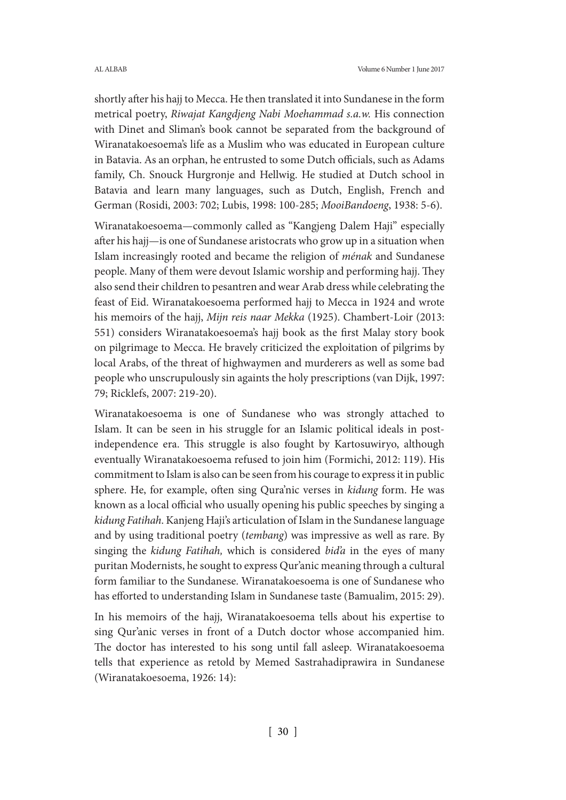shortly after his hajj to Mecca. He then translated it into Sundanese in the form metrical poetry, *Riwajat Kangdjeng Nabi Moehammad s.a.w.* His connection with Dinet and Sliman's book cannot be separated from the background of Wiranatakoesoema's life as a Muslim who was educated in European culture in Batavia. As an orphan, he entrusted to some Dutch officials, such as Adams family, Ch. Snouck Hurgronje and Hellwig. He studied at Dutch school in Batavia and learn many languages, such as Dutch, English, French and German (Rosidi, 2003: 702; Lubis, 1998: 100-285; *MooiBandoeng*, 1938: 5-6).

Wiranatakoesoema—commonly called as "Kangjeng Dalem Haji" especially after his hajj—is one of Sundanese aristocrats who grow up in a situation when Islam increasingly rooted and became the religion of *ménak* and Sundanese people. Many of them were devout Islamic worship and performing hajj. They also send their children to pesantren and wear Arab dress while celebrating the feast of Eid. Wiranatakoesoema performed hajj to Mecca in 1924 and wrote his memoirs of the hajj, *Mijn reis naar Mekka* (1925). Chambert-Loir (2013: 551) considers Wiranatakoesoema's hajj book as the first Malay story book on pilgrimage to Mecca. He bravely criticized the exploitation of pilgrims by local Arabs, of the threat of highwaymen and murderers as well as some bad people who unscrupulously sin againts the holy prescriptions (van Dijk, 1997: 79; Ricklefs, 2007: 219-20).

Wiranatakoesoema is one of Sundanese who was strongly attached to Islam. It can be seen in his struggle for an Islamic political ideals in postindependence era. This struggle is also fought by Kartosuwiryo, although eventually Wiranatakoesoema refused to join him (Formichi, 2012: 119). His commitment to Islam is also can be seen from his courage to express it in public sphere. He, for example, often sing Qura'nic verses in *kidung* form. He was known as a local official who usually opening his public speeches by singing a *kidung Fatihah*. Kanjeng Haji's articulation of Islam in the Sundanese language and by using traditional poetry (*tembang*) was impressive as well as rare. By singing the *kidung Fatihah,* which is considered *bid'a* in the eyes of many puritan Modernists, he sought to express Qur'anic meaning through a cultural form familiar to the Sundanese. Wiranatakoesoema is one of Sundanese who has efforted to understanding Islam in Sundanese taste (Bamualim, 2015: 29).

In his memoirs of the hajj, Wiranatakoesoema tells about his expertise to sing Qur'anic verses in front of a Dutch doctor whose accompanied him. The doctor has interested to his song until fall asleep. Wiranatakoesoema tells that experience as retold by Memed Sastrahadiprawira in Sundanese (Wiranatakoesoema, 1926: 14):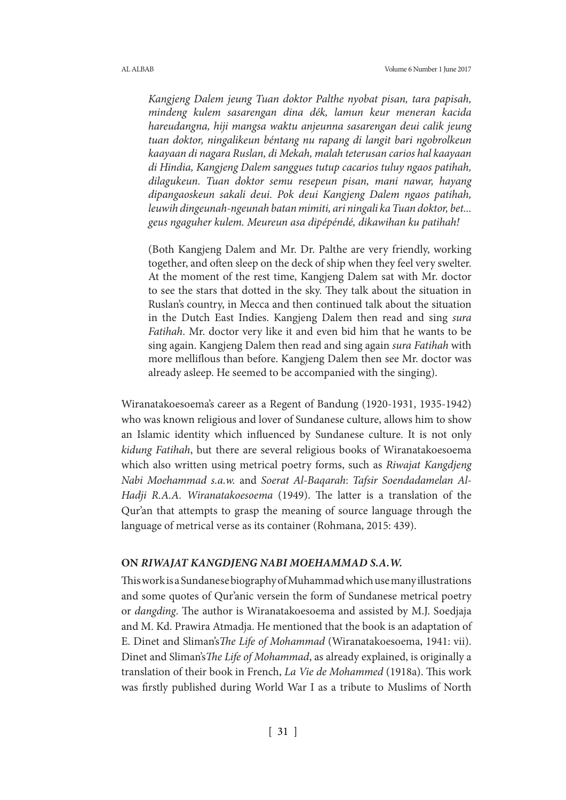*Kangjeng Dalem jeung Tuan doktor Palthe nyobat pisan, tara papisah, mindeng kulem sasarengan dina dék, lamun keur meneran kacida hareudangna, hiji mangsa waktu anjeunna sasarengan deui calik jeung tuan doktor, ningalikeun béntang nu rapang di langit bari ngobrolkeun kaayaan di nagara Ruslan, di Mekah, malah teterusan carios hal kaayaan di Hindia, Kangjeng Dalem sanggues tutup cacarios tuluy ngaos patihah, dilagukeun. Tuan doktor semu resepeun pisan, mani nawar, hayang dipangaoskeun sakali deui. Pok deui Kangjeng Dalem ngaos patihah, leuwih dingeunah-ngeunah batan mimiti, ari ningali ka Tuan doktor, bet... geus ngaguher kulem. Meureun asa dipépéndé, dikawihan ku patihah!*

(Both Kangjeng Dalem and Mr. Dr. Palthe are very friendly, working together, and often sleep on the deck of ship when they feel very swelter. At the moment of the rest time, Kangjeng Dalem sat with Mr. doctor to see the stars that dotted in the sky. They talk about the situation in Ruslan's country, in Mecca and then continued talk about the situation in the Dutch East Indies. Kangjeng Dalem then read and sing *sura Fatihah*. Mr. doctor very like it and even bid him that he wants to be sing again. Kangjeng Dalem then read and sing again *sura Fatihah* with more melliflous than before. Kangjeng Dalem then see Mr. doctor was already asleep. He seemed to be accompanied with the singing).

Wiranatakoesoema's career as a Regent of Bandung (1920-1931, 1935-1942) who was known religious and lover of Sundanese culture, allows him to show an Islamic identity which influenced by Sundanese culture. It is not only *kidung Fatihah*, but there are several religious books of Wiranatakoesoema which also written using metrical poetry forms, such as *Riwajat Kangdjeng Nabi Moehammad s.a.w.* and *Soerat Al-Baqarah*: *Tafsir Soendadamelan Al-Hadji R.A.A. Wiranatakoesoema* (1949). The latter is a translation of the Qur'an that attempts to grasp the meaning of source language through the language of metrical verse as its container (Rohmana, 2015: 439).

### **ON** *RIWAJAT KANGDJENG NABI MOEHAMMAD S.A.W.*

This work is a Sundanese biography of Muhammad which use many illustrations and some quotes of Qur'anic versein the form of Sundanese metrical poetry or *dangding*. The author is Wiranatakoesoema and assisted by M.J. Soedjaja and M. Kd. Prawira Atmadja. He mentioned that the book is an adaptation of E. Dinet and Sliman's*The Life of Mohammad* (Wiranatakoesoema, 1941: vii). Dinet and Sliman's*The Life of Mohammad*, as already explained, is originally a translation of their book in French, *La Vie de Mohammed* (1918a). This work was firstly published during World War I as a tribute to Muslims of North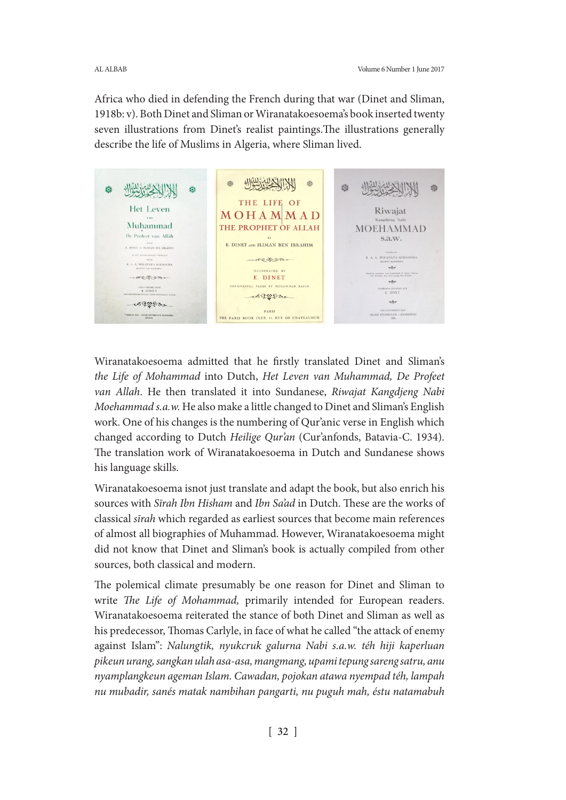Africa who died in defending the French during that war (Dinet and Sliman, 1918b: v). Both Dinet and Sliman or Wiranatakoesoema's book inserted twenty seven illustrations from Dinet's realist paintings.The illustrations generally describe the life of Muslims in Algeria, where Sliman lived.

USUS WANT NEW WIN 益 **Tox** ó iôt THE LIFE OF Het Leven Riwajat MOHAMMAD Muhammad THE PROPHET OF ALLAH **MOEHAMMAD** De Profeet van Allah s.a.w. E. DINET AND SLIMAN BEN IBRAHIM E. DINET en SLIMAN BIN IBRAHIM R. A. A. WIRANATA KOESOEMA -colfor  $$\tt ncon$$  R\_A\_A\_WIRANATA KOESOEMA  $\nabla\phi$ ILLUSTRATED BY ting njoetaman tina kimb-kimb E. Dinet - negam E. DINET vitor ORNAMENTAL PAGES BY MOHAMMAD RACIM **BARNA DIPAPAE** -colesseron  $\forall$ wegger  $\begin{minipage}{.4\linewidth} \begin{tabular}{c} \bf{DKALOEARREUN KOF} \\ \bf{ISLAM STUDIECLUB} \end{tabular} \end{minipage}$ PARIS ON ANY THEAM STETHERED HAND THE PARIS BOOK CLUB, 11, RUE DE CHATEAUDUN

Wiranatakoesoema admitted that he firstly translated Dinet and Sliman's *the Life of Mohammad* into Dutch, *Het Leven van Muhammad, De Profeet van Allah*. He then translated it into Sundanese, *Riwajat Kangdjeng Nabi Moehammad s.a.w.* He also make a little changed to Dinet and Sliman's English work. One of his changes is the numbering of Qur'anic verse in English which changed according to Dutch *Heilige Qur'an* (Cur'anfonds, Batavia-C. 1934). The translation work of Wiranatakoesoema in Dutch and Sundanese shows his language skills.

Wiranatakoesoema isnot just translate and adapt the book, but also enrich his sources with *Sīrah Ibn Hisham* and *Ibn Sa'ad* in Dutch. These are the works of classical *sīrah* which regarded as earliest sources that become main references of almost all biographies of Muhammad. However, Wiranatakoesoema might did not know that Dinet and Sliman's book is actually compiled from other sources, both classical and modern.

The polemical climate presumably be one reason for Dinet and Sliman to write *The Life of Mohammad,* primarily intended for European readers. Wiranatakoesoema reiterated the stance of both Dinet and Sliman as well as his predecessor, Thomas Carlyle, in face of what he called "the attack of enemy against Islam": *Nalungtik, nyukcruk galurna Nabi s.a.w. téh hiji kaperluan pikeun urang, sangkan ulah asa-asa, mangmang, upami tepung sareng satru, anu nyamplangkeun ageman Islam. Cawadan, pojokan atawa nyempad téh, lampah nu mubadir, sanés matak nambihan pangarti, nu puguh mah, éstu natamabuh*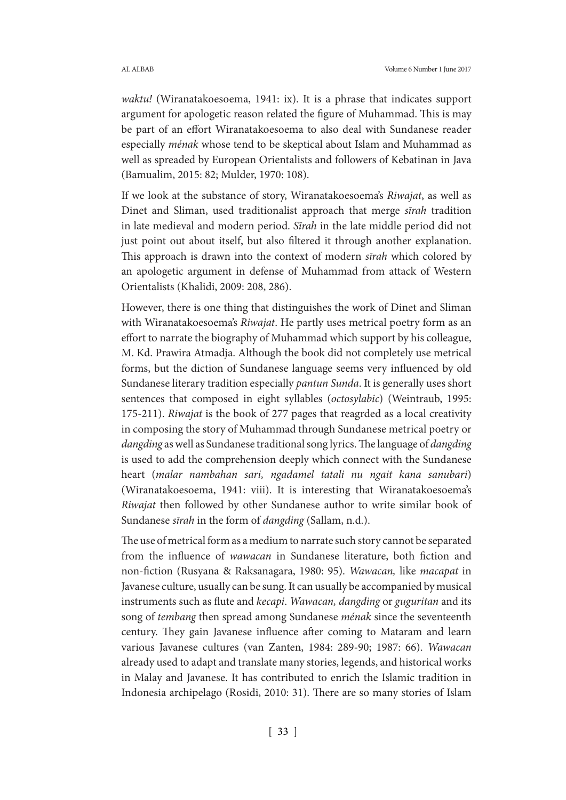*waktu!* (Wiranatakoesoema, 1941: ix). It is a phrase that indicates support argument for apologetic reason related the figure of Muhammad. This is may be part of an effort Wiranatakoesoema to also deal with Sundanese reader especially *ménak* whose tend to be skeptical about Islam and Muhammad as well as spreaded by European Orientalists and followers of Kebatinan in Java (Bamualim, 2015: 82; Mulder, 1970: 108).

If we look at the substance of story, Wiranatakoesoema's *Riwajat*, as well as Dinet and Sliman, used traditionalist approach that merge *sīrah* tradition in late medieval and modern period. *Sīrah* in the late middle period did not just point out about itself, but also filtered it through another explanation. This approach is drawn into the context of modern *sīrah* which colored by an apologetic argument in defense of Muhammad from attack of Western Orientalists (Khalidi, 2009: 208, 286).

However, there is one thing that distinguishes the work of Dinet and Sliman with Wiranatakoesoema's *Riwajat*. He partly uses metrical poetry form as an effort to narrate the biography of Muhammad which support by his colleague, M. Kd. Prawira Atmadja. Although the book did not completely use metrical forms, but the diction of Sundanese language seems very influenced by old Sundanese literary tradition especially *pantun Sunda*. It is generally uses short sentences that composed in eight syllables (*octosylabic*) (Weintraub, 1995: 175-211). *Riwajat* is the book of 277 pages that reagrded as a local creativity in composing the story of Muhammad through Sundanese metrical poetry or *dangding* as well as Sundanese traditional song lyrics. The language of *dangding*  is used to add the comprehension deeply which connect with the Sundanese heart (*malar nambahan sari, ngadamel tatali nu ngait kana sanubari*) (Wiranatakoesoema, 1941: viii). It is interesting that Wiranatakoesoema's *Riwajat* then followed by other Sundanese author to write similar book of Sundanese *sīrah* in the form of *dangding* (Sallam, n.d.).

The use of metrical form as a medium to narrate such story cannot be separated from the influence of *wawacan* in Sundanese literature, both fiction and non-fiction (Rusyana & Raksanagara, 1980: 95). *Wawacan,* like *macapat* in Javanese culture, usually can be sung. It can usually be accompanied by musical instruments such as flute and *kecapi*. *Wawacan, dangding* or *guguritan* and its song of *tembang* then spread among Sundanese *ménak* since the seventeenth century. They gain Javanese influence after coming to Mataram and learn various Javanese cultures (van Zanten, 1984: 289-90; 1987: 66). *Wawacan*  already used to adapt and translate many stories, legends, and historical works in Malay and Javanese. It has contributed to enrich the Islamic tradition in Indonesia archipelago (Rosidi, 2010: 31). There are so many stories of Islam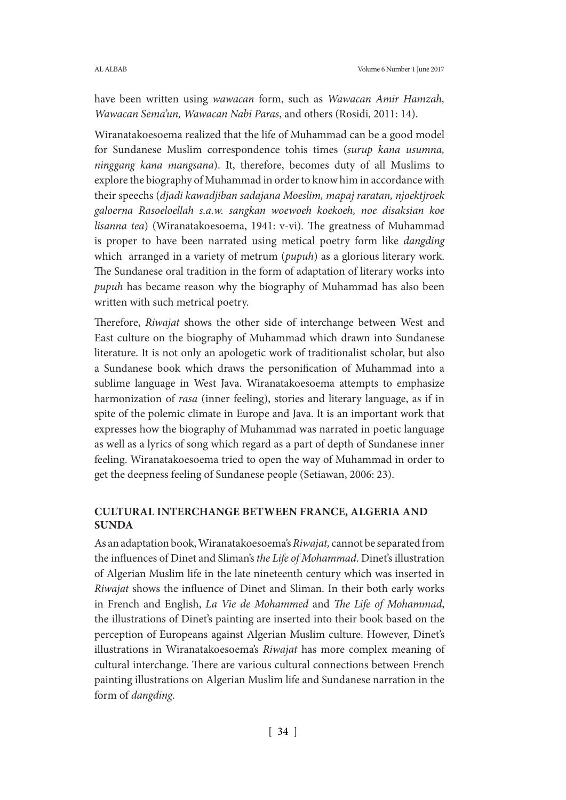have been written using *wawacan* form, such as *Wawacan Amir Hamzah, Wawacan Sema'un, Wawacan Nabi Paras*, and others (Rosidi, 2011: 14).

Wiranatakoesoema realized that the life of Muhammad can be a good model for Sundanese Muslim correspondence tohis times (*surup kana usumna, ninggang kana mangsana*). It, therefore, becomes duty of all Muslims to explore the biography of Muhammad in order to know him in accordance with their speechs (*djadi kawadjiban sadajana Moeslim, mapaj raratan, njoektjroek galoerna Rasoeloellah s.a.w. sangkan woewoeh koekoeh, noe disaksian koe lisanna tea*) (Wiranatakoesoema, 1941: v-vi)*.* The greatness of Muhammad is proper to have been narrated using metical poetry form like *dangding*  which arranged in a variety of metrum (*pupuh*) as a glorious literary work. The Sundanese oral tradition in the form of adaptation of literary works into *pupuh* has became reason why the biography of Muhammad has also been written with such metrical poetry.

Therefore, *Riwajat* shows the other side of interchange between West and East culture on the biography of Muhammad which drawn into Sundanese literature. It is not only an apologetic work of traditionalist scholar, but also a Sundanese book which draws the personification of Muhammad into a sublime language in West Java. Wiranatakoesoema attempts to emphasize harmonization of *rasa* (inner feeling), stories and literary language, as if in spite of the polemic climate in Europe and Java. It is an important work that expresses how the biography of Muhammad was narrated in poetic language as well as a lyrics of song which regard as a part of depth of Sundanese inner feeling. Wiranatakoesoema tried to open the way of Muhammad in order to get the deepness feeling of Sundanese people (Setiawan, 2006: 23).

## **CULTURAL INTERCHANGE BETWEEN FRANCE, ALGERIA AND SUNDA**

As an adaptation book, Wiranatakoesoema's *Riwajat,* cannot be separated from the influences of Dinet and Sliman's *the Life of Mohammad*. Dinet's illustration of Algerian Muslim life in the late nineteenth century which was inserted in *Riwajat* shows the influence of Dinet and Sliman. In their both early works in French and English, *La Vie de Mohammed* and *The Life of Mohammad*, the illustrations of Dinet's painting are inserted into their book based on the perception of Europeans against Algerian Muslim culture. However, Dinet's illustrations in Wiranatakoesoema's *Riwajat* has more complex meaning of cultural interchange. There are various cultural connections between French painting illustrations on Algerian Muslim life and Sundanese narration in the form of *dangding*.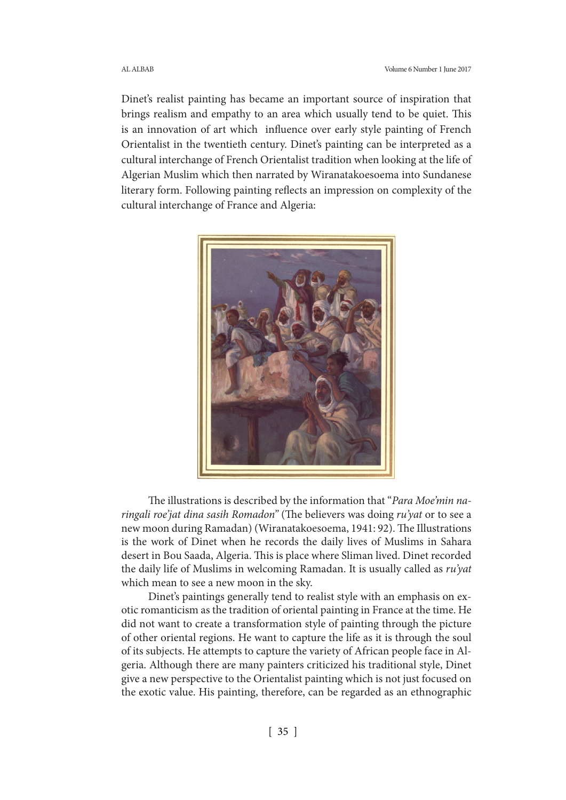Dinet's realist painting has became an important source of inspiration that brings realism and empathy to an area which usually tend to be quiet. This is an innovation of art which influence over early style painting of French Orientalist in the twentieth century. Dinet's painting can be interpreted as a cultural interchange of French Orientalist tradition when looking at the life of Algerian Muslim which then narrated by Wiranatakoesoema into Sundanese literary form. Following painting reflects an impression on complexity of the cultural interchange of France and Algeria:



The illustrations is described by the information that "*Para Moe'min naringali roe'jat dina sasih Romadon"* (The believers was doing *ru'yat* or to see a new moon during Ramadan) (Wiranatakoesoema, 1941: 92). The Illustrations is the work of Dinet when he records the daily lives of Muslims in Sahara desert in Bou Saada, Algeria. This is place where Sliman lived. Dinet recorded the daily life of Muslims in welcoming Ramadan. It is usually called as *ru'yat* which mean to see a new moon in the sky.

Dinet's paintings generally tend to realist style with an emphasis on exotic romanticism as the tradition of oriental painting in France at the time. He did not want to create a transformation style of painting through the picture of other oriental regions. He want to capture the life as it is through the soul of its subjects. He attempts to capture the variety of African people face in Algeria. Although there are many painters criticized his traditional style, Dinet give a new perspective to the Orientalist painting which is not just focused on the exotic value. His painting, therefore, can be regarded as an ethnographic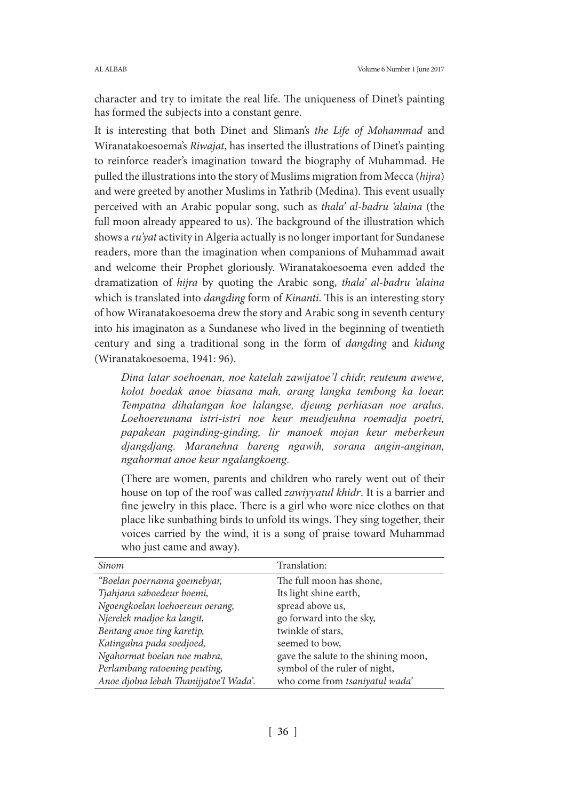character and try to imitate the real life. The uniqueness of Dinet's painting has formed the subjects into a constant genre.

It is interesting that both Dinet and Sliman's *the Life of Mohammad* and Wiranatakoesoema's *Riwajat*, has inserted the illustrations of Dinet's painting to reinforce reader's imagination toward the biography of Muhammad. He pulled the illustrations into the story of Muslims migration from Mecca (*hijra*) and were greeted by another Muslims in Yathrib (Medina). This event usually perceived with an Arabic popular song, such as *thala' al-badru 'alaina* (the full moon already appeared to us). The background of the illustration which shows a *ru'yat* activity in Algeria actually is no longer important for Sundanese readers, more than the imagination when companions of Muhammad await and welcome their Prophet gloriously. Wiranatakoesoema even added the dramatization of *hijra* by quoting the Arabic song, *thala' al-badru 'alaina*  which is translated into *dangding* form of *Kinanti*. This is an interesting story of how Wiranatakoesoema drew the story and Arabic song in seventh century into his imaginaton as a Sundanese who lived in the beginning of twentieth century and sing a traditional song in the form of *dangding* and *kidung* (Wiranatakoesoema, 1941: 96).

*Dina latar soehoenan, noe katelah zawijatoe'l chidr, reuteum awewe, kolot boedak anoe biasana mah, arang langka tembong ka loear. Tempatna dihalangan koe lalangse, djeung perhiasan noe aralus. Loehoereunana istri-istri noe keur meudjeuhna roemadja poetri, papakean paginding-ginding, lir manoek mojan keur meberkeun djangdjang. Maranehna bareng ngawih, sorana angin-anginan, ngahormat anoe keur ngalangkoeng.*

(There are women, parents and children who rarely went out of their house on top of the roof was called *zawiyyatul khidr*. It is a barrier and fine jewelry in this place. There is a girl who wore nice clothes on that place like sunbathing birds to unfold its wings. They sing together, their voices carried by the wind, it is a song of praise toward Muhammad who just came and away).

| Sinom                                  | Translation:                         |
|----------------------------------------|--------------------------------------|
| "Boelan poernama goemebyar,            | The full moon has shone,             |
| Tjahjana saboedeur boemi,              | Its light shine earth,               |
| Ngoengkoelan loehoereun oerang,        | spread above us,                     |
| Njerelek madjoe ka langit,             | go forward into the sky,             |
| Bentang anoe ting karetip,             | twinkle of stars,                    |
| Katingalna pada soedjoed,              | seemed to bow,                       |
| Ngahormat boelan noe mabra,            | gave the salute to the shining moon, |
| Perlambang ratoening peuting,          | symbol of the ruler of night,        |
| Anoe djolna lebah Thanijjatoe'l Wada'. | who come from tsaniyatul wada'       |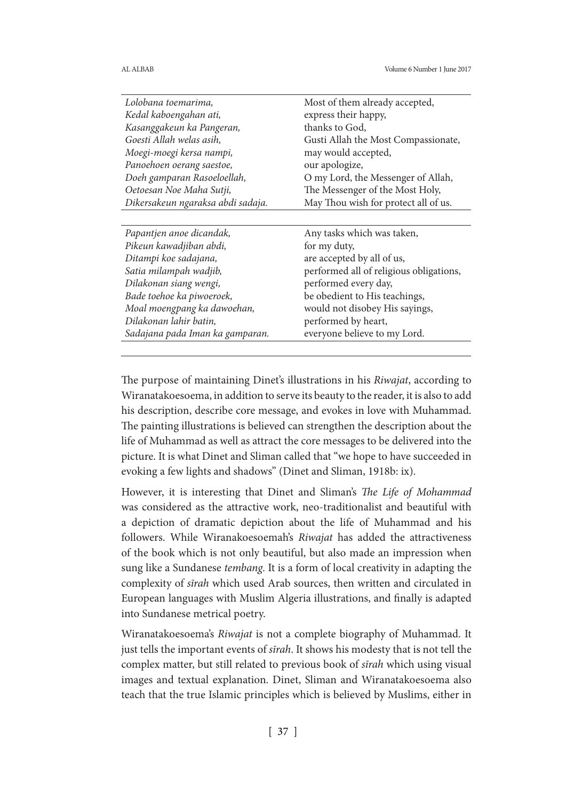| Most of them already accepted,          |
|-----------------------------------------|
| express their happy,                    |
| thanks to God,                          |
| Gusti Allah the Most Compassionate,     |
| may would accepted,                     |
| our apologize,                          |
| O my Lord, the Messenger of Allah,      |
| The Messenger of the Most Holy,         |
| May Thou wish for protect all of us.    |
|                                         |
| Any tasks which was taken,              |
| for my duty,                            |
| are accepted by all of us,              |
| performed all of religious obligations, |
| performed every day,                    |
| be obedient to His teachings,           |
| would not disobey His sayings,          |
| performed by heart,                     |
| everyone believe to my Lord.            |
|                                         |

The purpose of maintaining Dinet's illustrations in his *Riwajat*, according to Wiranatakoesoema, in addition to serve its beauty to the reader, it is also to add his description, describe core message, and evokes in love with Muhammad. The painting illustrations is believed can strengthen the description about the life of Muhammad as well as attract the core messages to be delivered into the picture. It is what Dinet and Sliman called that "we hope to have succeeded in evoking a few lights and shadows" (Dinet and Sliman, 1918b: ix).

However, it is interesting that Dinet and Sliman's *The Life of Mohammad*  was considered as the attractive work, neo-traditionalist and beautiful with a depiction of dramatic depiction about the life of Muhammad and his followers. While Wiranakoesoemah's *Riwajat* has added the attractiveness of the book which is not only beautiful, but also made an impression when sung like a Sundanese *tembang*. It is a form of local creativity in adapting the complexity of *sīrah* which used Arab sources, then written and circulated in European languages with Muslim Algeria illustrations, and finally is adapted into Sundanese metrical poetry.

Wiranatakoesoema's *Riwajat* is not a complete biography of Muhammad. It just tells the important events of *sīrah*. It shows his modesty that is not tell the complex matter, but still related to previous book of *sīrah* which using visual images and textual explanation. Dinet, Sliman and Wiranatakoesoema also teach that the true Islamic principles which is believed by Muslims, either in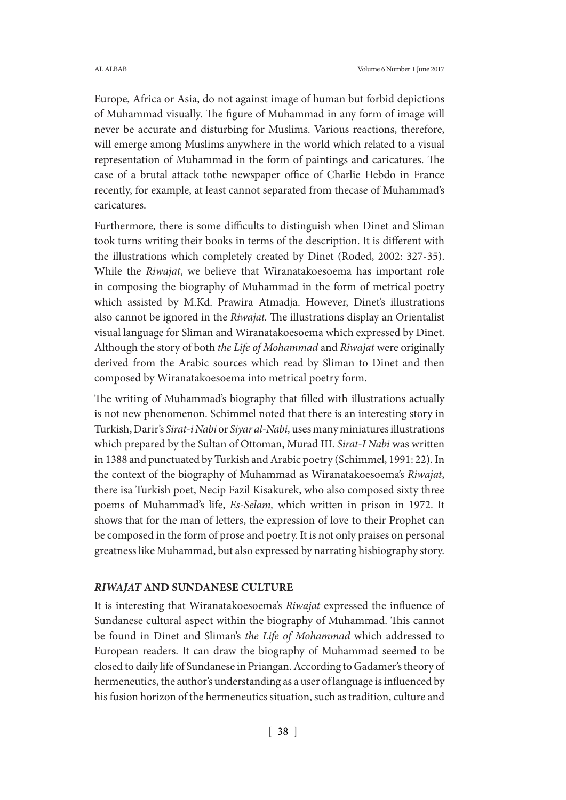Europe, Africa or Asia, do not against image of human but forbid depictions of Muhammad visually. The figure of Muhammad in any form of image will never be accurate and disturbing for Muslims. Various reactions, therefore, will emerge among Muslims anywhere in the world which related to a visual representation of Muhammad in the form of paintings and caricatures. The case of a brutal attack tothe newspaper office of Charlie Hebdo in France recently, for example, at least cannot separated from thecase of Muhammad's caricatures.

Furthermore, there is some difficults to distinguish when Dinet and Sliman took turns writing their books in terms of the description. It is different with the illustrations which completely created by Dinet (Roded, 2002: 327-35). While the *Riwajat*, we believe that Wiranatakoesoema has important role in composing the biography of Muhammad in the form of metrical poetry which assisted by M.Kd. Prawira Atmadja. However, Dinet's illustrations also cannot be ignored in the *Riwajat.* The illustrations display an Orientalist visual language for Sliman and Wiranatakoesoema which expressed by Dinet. Although the story of both *the Life of Mohammad* and *Riwajat* were originally derived from the Arabic sources which read by Sliman to Dinet and then composed by Wiranatakoesoema into metrical poetry form.

The writing of Muhammad's biography that filled with illustrations actually is not new phenomenon. Schimmel noted that there is an interesting story in Turkish, Darir's *Sirat-i Nabi* or *Siyar al-Nabi,* uses many miniatures illustrations which prepared by the Sultan of Ottoman, Murad III. *Sirat-I Nabi* was written in 1388 and punctuated by Turkish and Arabic poetry (Schimmel, 1991: 22). In the context of the biography of Muhammad as Wiranatakoesoema's *Riwajat*, there isa Turkish poet, Necip Fazil Kisakurek, who also composed sixty three poems of Muhammad's life, *Es-Selam,* which written in prison in 1972. It shows that for the man of letters, the expression of love to their Prophet can be composed in the form of prose and poetry. It is not only praises on personal greatness like Muhammad, but also expressed by narrating hisbiography story.

### *RIWAJAT* **AND SUNDANESE CULTURE**

It is interesting that Wiranatakoesoema's *Riwajat* expressed the influence of Sundanese cultural aspect within the biography of Muhammad. This cannot be found in Dinet and Sliman's *the Life of Mohammad* which addressed to European readers. It can draw the biography of Muhammad seemed to be closed to daily life of Sundanese in Priangan. According to Gadamer's theory of hermeneutics, the author's understanding as a user of language is influenced by his fusion horizon of the hermeneutics situation, such as tradition, culture and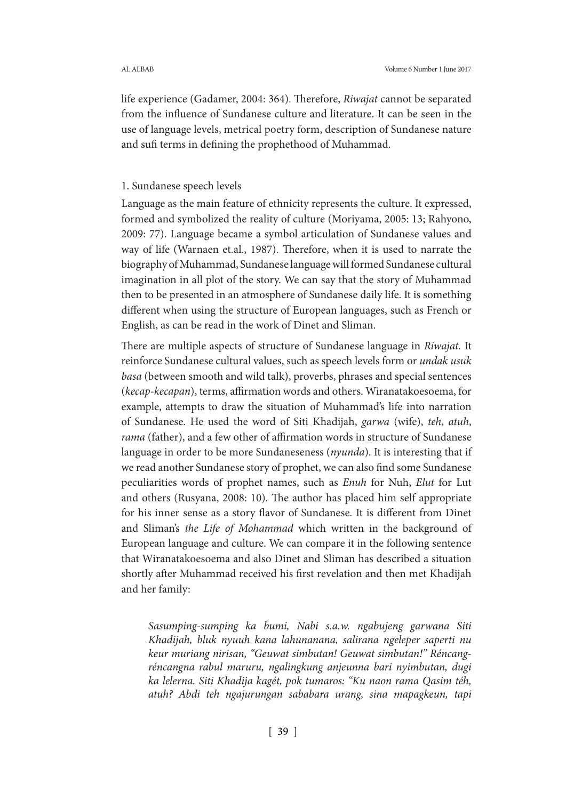life experience (Gadamer, 2004: 364). Therefore, *Riwajat* cannot be separated from the influence of Sundanese culture and literature. It can be seen in the use of language levels, metrical poetry form, description of Sundanese nature and sufi terms in defining the prophethood of Muhammad.

### 1. Sundanese speech levels

Language as the main feature of ethnicity represents the culture. It expressed, formed and symbolized the reality of culture (Moriyama, 2005: 13; Rahyono, 2009: 77). Language became a symbol articulation of Sundanese values and way of life (Warnaen et.al., 1987). Therefore, when it is used to narrate the biography of Muhammad, Sundanese language will formed Sundanese cultural imagination in all plot of the story. We can say that the story of Muhammad then to be presented in an atmosphere of Sundanese daily life. It is something different when using the structure of European languages, such as French or English, as can be read in the work of Dinet and Sliman.

There are multiple aspects of structure of Sundanese language in *Riwajat.* It reinforce Sundanese cultural values, such as speech levels form or *undak usuk basa* (between smooth and wild talk), proverbs, phrases and special sentences (*kecap-kecapan*), terms, affirmation words and others. Wiranatakoesoema, for example, attempts to draw the situation of Muhammad's life into narration of Sundanese. He used the word of Siti Khadijah, *garwa* (wife), *teh*, *atuh*, *rama* (father), and a few other of affirmation words in structure of Sundanese language in order to be more Sundaneseness (*nyunda*). It is interesting that if we read another Sundanese story of prophet, we can also find some Sundanese peculiarities words of prophet names, such as *Enuh* for Nuh, *Elut* for Lut and others (Rusyana, 2008: 10). The author has placed him self appropriate for his inner sense as a story flavor of Sundanese. It is different from Dinet and Sliman's *the Life of Mohammad* which written in the background of European language and culture. We can compare it in the following sentence that Wiranatakoesoema and also Dinet and Sliman has described a situation shortly after Muhammad received his first revelation and then met Khadijah and her family:

*Sasumping-sumping ka bumi, Nabi s.a.w. ngabujeng garwana Siti Khadijah, bluk nyuuh kana lahunanana, salirana ngeleper saperti nu keur muriang nirisan, "Geuwat simbutan! Geuwat simbutan!" Réncangréncangna rabul maruru, ngalingkung anjeunna bari nyimbutan, dugi ka lelerna. Siti Khadija kagét, pok tumaros: "Ku naon rama Qasim téh, atuh? Abdi teh ngajurungan sababara urang, sina mapagkeun, tapi*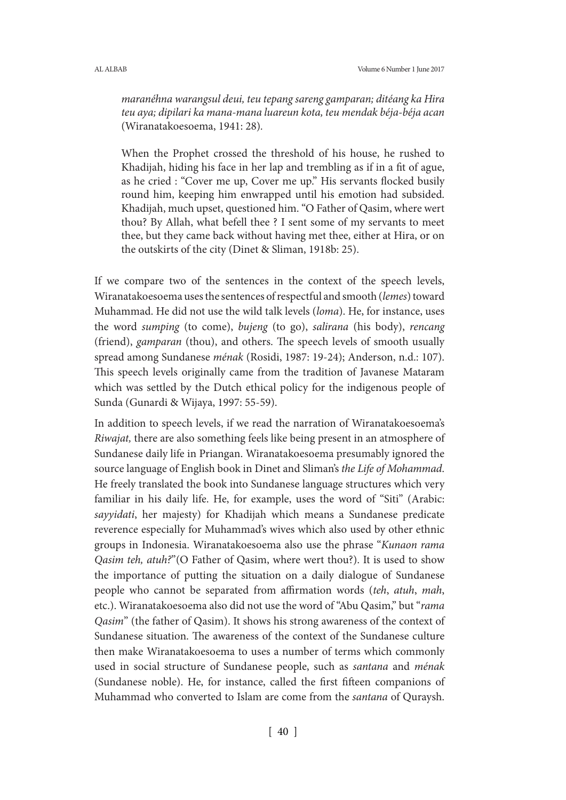*maranéhna warangsul deui, teu tepang sareng gamparan; ditéang ka Hira teu aya; dipilari ka mana-mana luareun kota, teu mendak béja-béja acan*  (Wiranatakoesoema, 1941: 28)*.*

When the Prophet crossed the threshold of his house, he rushed to Khadijah, hiding his face in her lap and trembling as if in a fit of ague, as he cried : "Cover me up, Cover me up." His servants flocked busily round him, keeping him enwrapped until his emotion had subsided. Khadijah, much upset, questioned him. "O Father of Qasim, where wert thou? By Allah, what befell thee ? I sent some of my servants to meet thee, but they came back without having met thee, either at Hira, or on the outskirts of the city (Dinet & Sliman, 1918b: 25).

If we compare two of the sentences in the context of the speech levels, Wiranatakoesoema uses the sentences of respectful and smooth (*lemes*) toward Muhammad. He did not use the wild talk levels (*loma*). He, for instance, uses the word *sumping* (to come), *bujeng* (to go), *salirana* (his body), *rencang* (friend), *gamparan* (thou), and others. The speech levels of smooth usually spread among Sundanese *ménak* (Rosidi, 1987: 19-24); Anderson, n.d.: 107). This speech levels originally came from the tradition of Javanese Mataram which was settled by the Dutch ethical policy for the indigenous people of Sunda (Gunardi & Wijaya, 1997: 55-59).

In addition to speech levels, if we read the narration of Wiranatakoesoema's *Riwajat,* there are also something feels like being present in an atmosphere of Sundanese daily life in Priangan. Wiranatakoesoema presumably ignored the source language of English book in Dinet and Sliman's *the Life of Mohammad*. He freely translated the book into Sundanese language structures which very familiar in his daily life. He, for example, uses the word of "Siti" (Arabic: *sayyidati*, her majesty) for Khadijah which means a Sundanese predicate reverence especially for Muhammad's wives which also used by other ethnic groups in Indonesia. Wiranatakoesoema also use the phrase "*Kunaon rama Qasim teh, atuh?*"(O Father of Qasim, where wert thou?). It is used to show the importance of putting the situation on a daily dialogue of Sundanese people who cannot be separated from affirmation words (*teh*, *atuh*, *mah*, etc.). Wiranatakoesoema also did not use the word of "Abu Qasim," but "*rama Qasim*" (the father of Qasim). It shows his strong awareness of the context of Sundanese situation. The awareness of the context of the Sundanese culture then make Wiranatakoesoema to uses a number of terms which commonly used in social structure of Sundanese people, such as *santana* and *ménak*  (Sundanese noble). He, for instance, called the first fifteen companions of Muhammad who converted to Islam are come from the *santana* of Quraysh.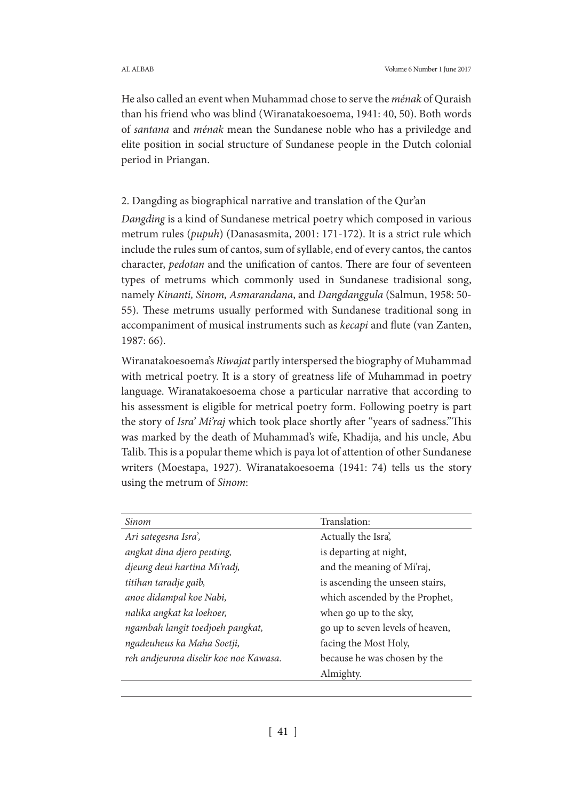He also called an event when Muhammad chose to serve the *ménak* of Quraish than his friend who was blind (Wiranatakoesoema, 1941: 40, 50). Both words of *santana* and *ménak* mean the Sundanese noble who has a priviledge and elite position in social structure of Sundanese people in the Dutch colonial period in Priangan.

# 2. Dangding as biographical narrative and translation of the Qur'an

*Dangding* is a kind of Sundanese metrical poetry which composed in various metrum rules (*pupuh*) (Danasasmita, 2001: 171-172). It is a strict rule which include the rules sum of cantos, sum of syllable, end of every cantos, the cantos character, *pedotan* and the unification of cantos. There are four of seventeen types of metrums which commonly used in Sundanese tradisional song, namely *Kinanti, Sinom, Asmarandana*, and *Dangdanggula* (Salmun, 1958: 50- 55). These metrums usually performed with Sundanese traditional song in accompaniment of musical instruments such as *kecapi* and flute (van Zanten, 1987: 66).

Wiranatakoesoema's *Riwajat* partly interspersed the biography of Muhammad with metrical poetry. It is a story of greatness life of Muhammad in poetry language. Wiranatakoesoema chose a particular narrative that according to his assessment is eligible for metrical poetry form. Following poetry is part the story of *Isra' Mi'raj* which took place shortly after "years of sadness."This was marked by the death of Muhammad's wife, Khadija, and his uncle, Abu Talib. This is a popular theme which is paya lot of attention of other Sundanese writers (Moestapa, 1927). Wiranatakoesoema (1941: 74) tells us the story using the metrum of *Sinom*:

| Sinom                                 | Translation:                     |
|---------------------------------------|----------------------------------|
| Ari sategesna Isra',                  | Actually the Isra,               |
| angkat dina djero peuting,            | is departing at night,           |
| djeung deui hartina Mi'radj,          | and the meaning of Mi'raj,       |
| titihan taradje gaib,                 | is ascending the unseen stairs,  |
| anoe didampal koe Nabi,               | which ascended by the Prophet,   |
| nalika angkat ka loehoer,             | when go up to the sky,           |
| ngambah langit toedjoeh pangkat,      | go up to seven levels of heaven, |
| ngadeuheus ka Maha Soetji,            | facing the Most Holy,            |
| reh andjeunna diselir koe noe Kawasa. | because he was chosen by the     |
|                                       | Almighty.                        |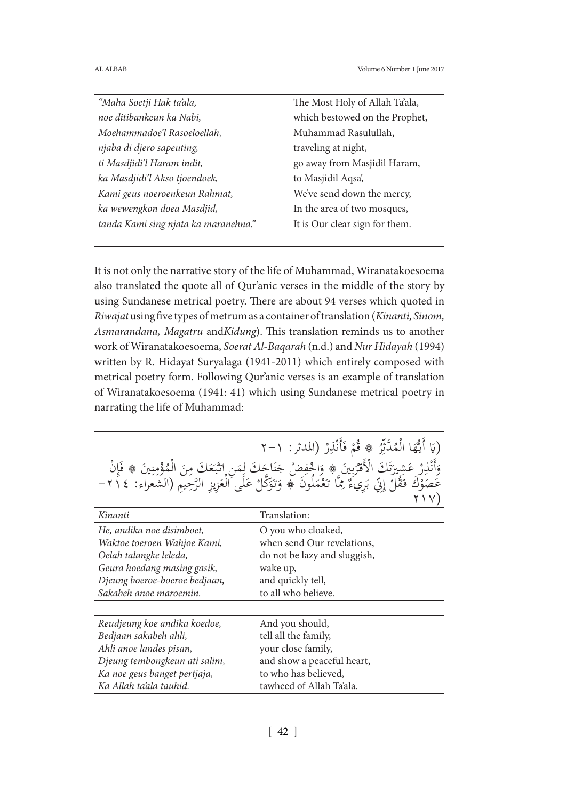| "Maha Soetji Hak ta'ala,             | The Most Holy of Allah Ta'ala, |
|--------------------------------------|--------------------------------|
| noe ditibankeun ka Nabi,             | which bestowed on the Prophet, |
| Moehammadoe'l Rasoeloellah,          | Muhammad Rasulullah,           |
| njaba di djero sapeuting,            | traveling at night,            |
| ti Masdjidi'l Haram indit,           | go away from Masjidil Haram,   |
| ka Masdjidi'l Akso tjoendoek,        | to Masjidil Aqsa,              |
| Kami geus noeroenkeun Rahmat,        | We've send down the mercy,     |
| ka wewengkon doea Masdjid,           | In the area of two mosques,    |
| tanda Kami sing njata ka maranehna." | It is Our clear sign for them. |
|                                      |                                |

It is not only the narrative story of the life of Muhammad, Wiranatakoesoema also translated the quote all of Qur'anic verses in the middle of the story by using Sundanese metrical poetry. There are about 94 verses which quoted in *Riwajat* using five types of metrum as a container of translation (*Kinanti, Sinom, Asmarandana, Magatru* and*Kidung*). This translation reminds us to another work of Wiranatakoesoema, *Soerat Al-Baqarah* (n.d.) and *Nur Hidayah* (1994) written by R. Hidayat Suryalaga (1941-2011) which entirely composed with metrical poetry form. Following Qur'anic verses is an example of translation of Wiranatakoesoema (1941: 41) which using Sundanese metrical poetry in narrating the life of Muhammad:

| (يَا أَيُّهَا الْمُدَّثِّرُ ﴾ قُمْ فَأَنْذِرْ (المدثر: ١-٢                                                                                                                                                               |
|--------------------------------------------------------------------------------------------------------------------------------------------------------------------------------------------------------------------------|
| وَأَنْذِرْ عَشِيرَتَكَ الْأَقْرَبِينَ ۞ وَاجْفِضْ جَنَاحَكَ لِمَنِ اتَّبَعَكَ مِنَ الْمُؤْمِنِينَ ۞ فَإِنْ<br>عَصَوْكَ فَقُلْ إِنِّي بَرِيءٌ مِمَّا تَعْمَلُونَ ۞ وَتَوَكَّلْ عَلَى الْعَزِيزِ الرَّحِيمِ (الشعراء: ٢١٤– |
|                                                                                                                                                                                                                          |

| Kinanti                       | Translation:                 |
|-------------------------------|------------------------------|
| He, andika noe disimboet,     | O you who cloaked,           |
| Waktoe toeroen Wahjoe Kami,   | when send Our revelations,   |
| Oelah talangke leleda,        | do not be lazy and sluggish, |
| Geura hoedang masing gasik,   | wake up,                     |
| Djeung boeroe-boeroe bedjaan, | and quickly tell,            |
| Sakabeh anoe maroemin.        | to all who believe.          |
|                               |                              |
| Reudjeung koe andika koedoe,  | And you should,              |
| Bedjaan sakabeh ahli,         | tell all the family,         |
| Ahli anoe landes pisan,       | your close family,           |
| Djeung tembongkeun ati salim, | and show a peaceful heart,   |
| Ka noe geus banget pertjaja,  | to who has believed,         |
| Ka Allah ta'ala tauhid.       | tawheed of Allah Ta'ala.     |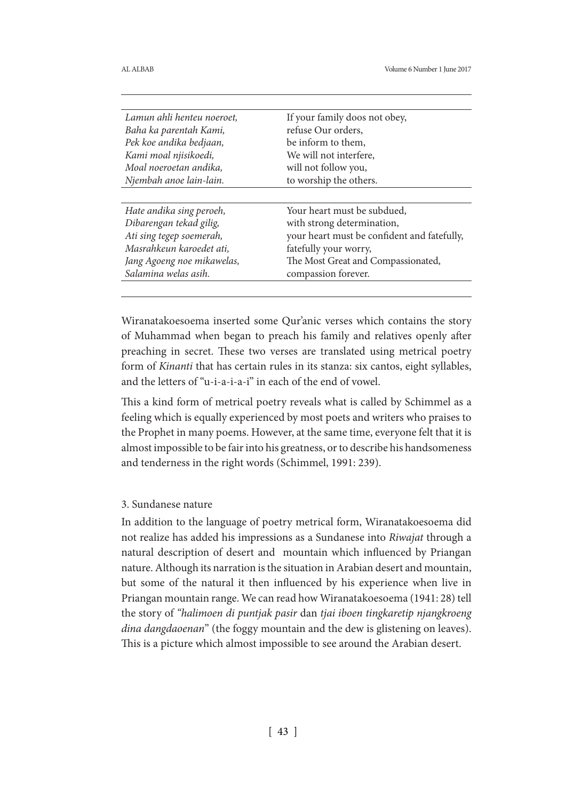| Lamun ahli henteu noeroet, | If your family doos not obey,               |
|----------------------------|---------------------------------------------|
| Baha ka parentah Kami,     | refuse Our orders,                          |
| Pek koe andika bedjaan,    | be inform to them,                          |
| Kami moal njisikoedi,      | We will not interfere,                      |
| Moal noeroetan andika,     | will not follow you,                        |
| Njembah anoe lain-lain.    | to worship the others.                      |
|                            |                                             |
| Hate andika sing peroeh,   | Your heart must be subdued,                 |
| Dibarengan tekad gilig,    | with strong determination,                  |
| Ati sing tegep soemerah,   | your heart must be confident and fatefully, |
| Masrahkeun karoedet ati,   | fatefully your worry,                       |
| Jang Agoeng noe mikawelas, | The Most Great and Compassionated,          |
| Salamina welas asih.       | compassion forever.                         |
|                            |                                             |

Wiranatakoesoema inserted some Qur'anic verses which contains the story of Muhammad when began to preach his family and relatives openly after preaching in secret. These two verses are translated using metrical poetry form of *Kinanti* that has certain rules in its stanza: six cantos, eight syllables, and the letters of "u-i-a-i-a-i" in each of the end of vowel.

This a kind form of metrical poetry reveals what is called by Schimmel as a feeling which is equally experienced by most poets and writers who praises to the Prophet in many poems. However, at the same time, everyone felt that it is almost impossible to be fair into his greatness, or to describe his handsomeness and tenderness in the right words (Schimmel, 1991: 239).

### 3. Sundanese nature

In addition to the language of poetry metrical form, Wiranatakoesoema did not realize has added his impressions as a Sundanese into *Riwajat* through a natural description of desert and mountain which influenced by Priangan nature. Although its narration is the situation in Arabian desert and mountain, but some of the natural it then influenced by his experience when live in Priangan mountain range. We can read how Wiranatakoesoema (1941: 28) tell the story of *"halimoen di puntjak pasir* dan *tjai iboen tingkaretip njangkroeng dina dangdaoenan*" (the foggy mountain and the dew is glistening on leaves). This is a picture which almost impossible to see around the Arabian desert.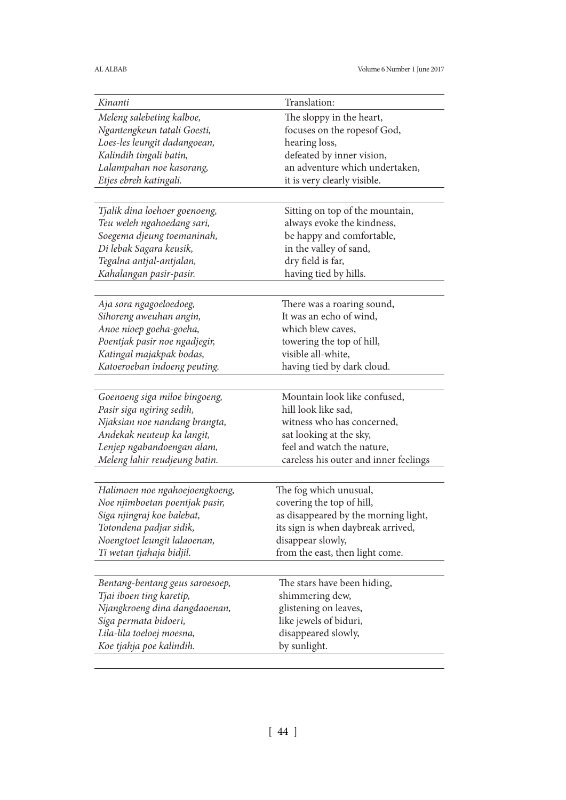| Kinanti                         | Translation:                          |
|---------------------------------|---------------------------------------|
| Meleng salebeting kalboe,       | The sloppy in the heart,              |
| Ngantengkeun tatali Goesti,     | focuses on the ropesof God,           |
| Loes-les leungit dadangoean,    | hearing loss,                         |
| Kalindih tingali batin,         | defeated by inner vision,             |
| Lalampahan noe kasorang,        | an adventure which undertaken,        |
| Etjes ebreh katingali.          | it is very clearly visible.           |
|                                 |                                       |
| Tjalik dina loehoer goenoeng,   | Sitting on top of the mountain,       |
| Teu weleh ngahoedang sari,      | always evoke the kindness,            |
| Soegema djeung toemaninah,      | be happy and comfortable,             |
| Di lebak Sagara keusik,         | in the valley of sand,                |
| Tegalna antjal-antjalan,        | dry field is far,                     |
|                                 |                                       |
| Kahalangan pasir-pasir.         | having tied by hills.                 |
|                                 |                                       |
| Aja sora ngagoeloedoeg,         | There was a roaring sound,            |
| Sihoreng aweuhan angin,         | It was an echo of wind,               |
| Anoe nioep goeha-goeha,         | which blew caves,                     |
| Poentjak pasir noe ngadjegir,   | towering the top of hill,             |
| Katingal majakpak bodas,        | visible all-white,                    |
| Katoeroeban indoeng peuting.    | having tied by dark cloud.            |
|                                 |                                       |
| Goenoeng siga miloe bingoeng,   | Mountain look like confused,          |
| Pasir siga ngiring sedih,       | hill look like sad,                   |
| Njaksian noe nandang brangta,   | witness who has concerned,            |
| Andekak neuteup ka langit,      | sat looking at the sky,               |
| Lenjep ngabandoengan alam,      | feel and watch the nature,            |
| Meleng lahir reudjeung batin.   | careless his outer and inner feelings |
|                                 |                                       |
| Halimoen noe ngahoejoengkoeng,  | The fog which unusual,                |
| Noe njimboetan poentjak pasir,  | covering the top of hill,             |
| Siga njingraj koe balebat,      | as disappeared by the morning light,  |
| Totondena padjar sidik,         | its sign is when daybreak arrived,    |
| Noengtoet leungit lalaoenan,    | disappear slowly,                     |
| Ti wetan tjahaja bidjil.        | from the east, then light come.       |
|                                 |                                       |
|                                 |                                       |
| Bentang-bentang geus saroesoep, | The stars have been hiding,           |
| Tjai iboen ting karetip,        | shimmering dew,                       |
| Njangkroeng dina dangdaoenan,   | glistening on leaves,                 |
| Siga permata bidoeri,           | like jewels of biduri,                |
| Lila-lila toeloej moesna,       | disappeared slowly,                   |
| Koe tjahja poe kalindih.        | by sunlight.                          |
|                                 |                                       |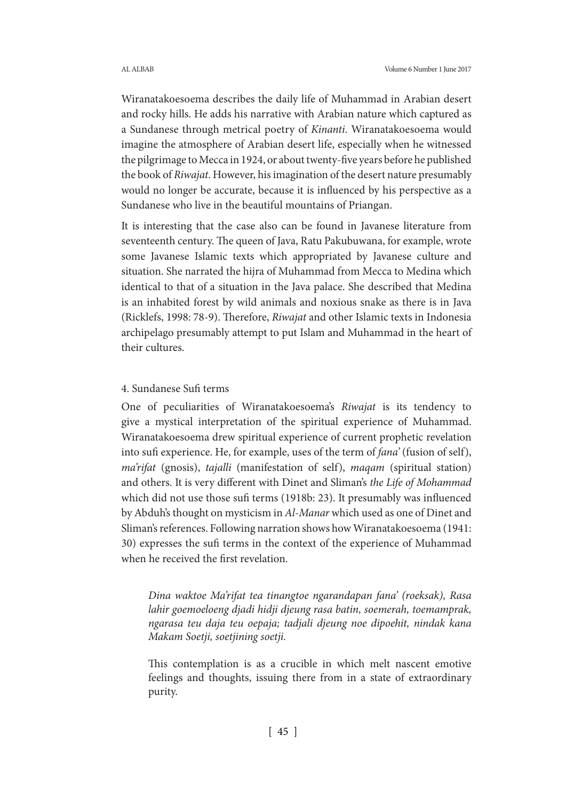Wiranatakoesoema describes the daily life of Muhammad in Arabian desert and rocky hills. He adds his narrative with Arabian nature which captured as a Sundanese through metrical poetry of *Kinanti*. Wiranatakoesoema would imagine the atmosphere of Arabian desert life, especially when he witnessed the pilgrimage to Mecca in 1924, or about twenty-five years before he published the book of *Riwajat*. However, his imagination of the desert nature presumably would no longer be accurate, because it is influenced by his perspective as a Sundanese who live in the beautiful mountains of Priangan.

It is interesting that the case also can be found in Javanese literature from seventeenth century. The queen of Java, Ratu Pakubuwana, for example, wrote some Javanese Islamic texts which appropriated by Javanese culture and situation. She narrated the hijra of Muhammad from Mecca to Medina which identical to that of a situation in the Java palace. She described that Medina is an inhabited forest by wild animals and noxious snake as there is in Java (Ricklefs, 1998: 78-9). Therefore, *Riwajat* and other Islamic texts in Indonesia archipelago presumably attempt to put Islam and Muhammad in the heart of their cultures.

### 4. Sundanese Sufi terms

One of peculiarities of Wiranatakoesoema's *Riwajat* is its tendency to give a mystical interpretation of the spiritual experience of Muhammad. Wiranatakoesoema drew spiritual experience of current prophetic revelation into sufi experience. He, for example, uses of the term of *fana'* (fusion of self), *ma'rifat* (gnosis), *tajalli* (manifestation of self), *maqam* (spiritual station) and others. It is very different with Dinet and Sliman's *the Life of Mohammad*  which did not use those sufi terms (1918b: 23). It presumably was influenced by Abduh's thought on mysticism in *Al-Manar* which used as one of Dinet and Sliman's references. Following narration shows how Wiranatakoesoema (1941: 30) expresses the sufi terms in the context of the experience of Muhammad when he received the first revelation.

*Dina waktoe Ma'rifat tea tinangtoe ngarandapan fana' (roeksak), Rasa lahir goemoeloeng djadi hidji djeung rasa batin, soemerah, toemamprak, ngarasa teu daja teu oepaja; tadjali djeung noe dipoehit, nindak kana Makam Soetji, soetjining soetji.*

This contemplation is as a crucible in which melt nascent emotive feelings and thoughts, issuing there from in a state of extraordinary purity.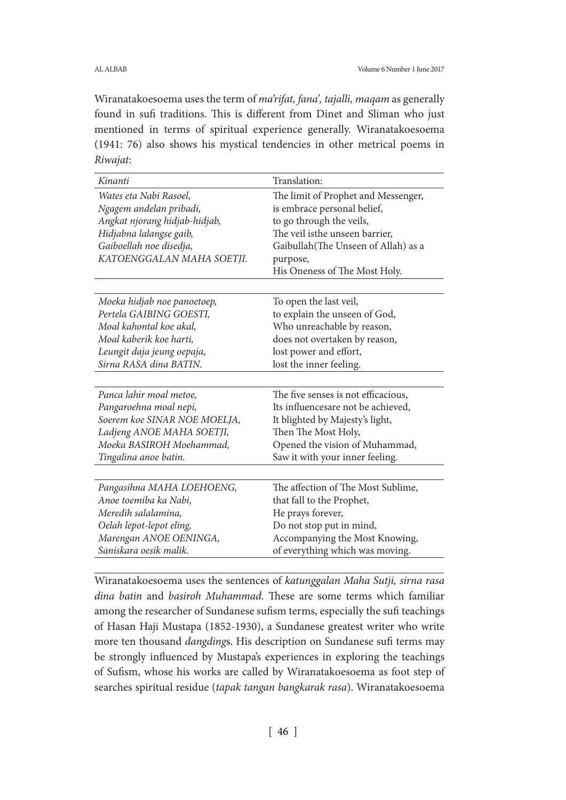Wiranatakoesoema uses the term of *ma'rifat, fana', tajalli, maqam* as generally found in sufi traditions. This is different from Dinet and Sliman who just mentioned in terms of spiritual experience generally. Wiranatakoesoema (1941: 76) also shows his mystical tendencies in other metrical poems in *Riwajat*:

| Kinanti                       | Translation:                         |
|-------------------------------|--------------------------------------|
| Wates eta Nabi Rasoel,        | The limit of Prophet and Messenger,  |
| Ngagem andelan pribadi,       | is embrace personal belief,          |
| Angkat njorang hidjab-hidjab, | to go through the veils,             |
| Hidjabna lalangse gaib,       | The veil isthe unseen barrier,       |
| Gaiboellah noe disedja,       | Gaibullah (The Unseen of Allah) as a |
| KATOENGGALAN MAHA SOETJI.     | purpose,                             |
|                               | His Oneness of The Most Holy.        |
|                               |                                      |
| Moeka hidjab noe panoetoep,   | To open the last veil,               |
| Pertela GAIBING GOESTI,       | to explain the unseen of God,        |
| Moal kahontal koe akal,       | Who unreachable by reason,           |
| Moal kaberik koe harti,       | does not overtaken by reason,        |
| Leungit daja jeung oepaja,    | lost power and effort,               |
| Sirna RASA dina BATIN.        | lost the inner feeling.              |
|                               |                                      |
| Panca lahir moal metoe,       | The five senses is not efficacious,  |
| Pangaroehna moal nepi,        | Its influencesare not be achieved,   |
| Soerem koe SINAR NOE MOELJA,  | It blighted by Majesty's light,      |
| Ladjeng ANOE MAHA SOETJI,     | Then The Most Holy,                  |
| Moeka BASIROH Moehammad,      | Opened the vision of Muhammad,       |
| Tingalina anoe batin.         | Saw it with your inner feeling.      |
|                               |                                      |
| Pangasihna MAHA LOEHOENG,     | The affection of The Most Sublime,   |
| Anoe toemiba ka Nabi,         | that fall to the Prophet,            |
| Meredih salalamina.           | He prays forever,                    |
| Oelah lepot-lepot eling,      | Do not stop put in mind,             |
| Marengan ANOE OENINGA,        | Accompanying the Most Knowing,       |
| Saniskara oesik malik.        | of everything which was moving.      |

Wiranatakoesoema uses the sentences of *katunggalan Maha Sutji, sirna rasa dina batin* and *basiroh Muhammad.* These are some terms which familiar among the researcher of Sundanese sufism terms, especially the sufi teachings of Hasan Haji Mustapa (1852-1930), a Sundanese greatest writer who write more ten thousand *dangding*s. His description on Sundanese sufi terms may be strongly influenced by Mustapa's experiences in exploring the teachings of Sufism, whose his works are called by Wiranatakoesoema as foot step of searches spiritual residue (*tapak tangan bangkarak rasa*). Wiranatakoesoema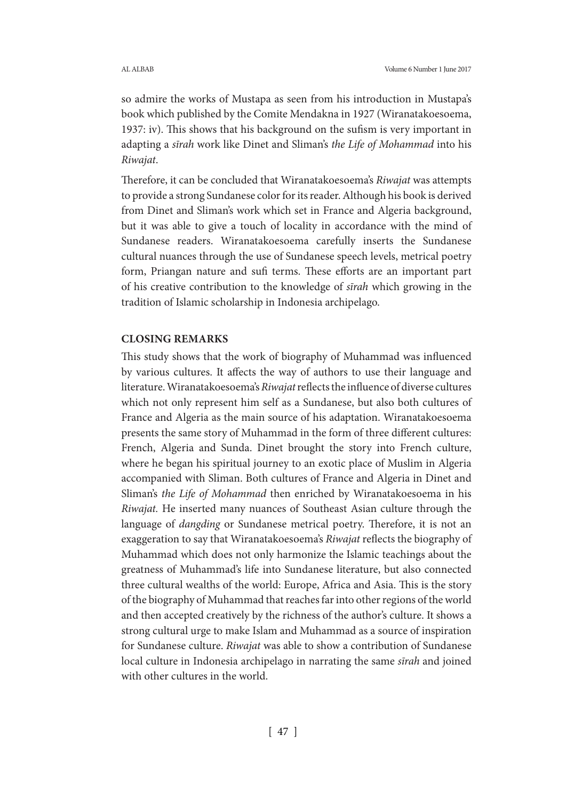so admire the works of Mustapa as seen from his introduction in Mustapa's book which published by the Comite Mendakna in 1927 (Wiranatakoesoema, 1937: iv). This shows that his background on the sufism is very important in adapting a *sīrah* work like Dinet and Sliman's *the Life of Mohammad* into his *Riwajat*.

Therefore, it can be concluded that Wiranatakoesoema's *Riwajat* was attempts to provide a strong Sundanese color for its reader. Although his book is derived from Dinet and Sliman's work which set in France and Algeria background, but it was able to give a touch of locality in accordance with the mind of Sundanese readers. Wiranatakoesoema carefully inserts the Sundanese cultural nuances through the use of Sundanese speech levels, metrical poetry form, Priangan nature and sufi terms. These efforts are an important part of his creative contribution to the knowledge of *sīrah* which growing in the tradition of Islamic scholarship in Indonesia archipelago.

### **CLOSING REMARKS**

This study shows that the work of biography of Muhammad was influenced by various cultures. It affects the way of authors to use their language and literature. Wiranatakoesoema's *Riwajat* reflects the influence of diverse cultures which not only represent him self as a Sundanese, but also both cultures of France and Algeria as the main source of his adaptation. Wiranatakoesoema presents the same story of Muhammad in the form of three different cultures: French, Algeria and Sunda. Dinet brought the story into French culture, where he began his spiritual journey to an exotic place of Muslim in Algeria accompanied with Sliman. Both cultures of France and Algeria in Dinet and Sliman's *the Life of Mohammad* then enriched by Wiranatakoesoema in his *Riwajat.* He inserted many nuances of Southeast Asian culture through the language of *dangding* or Sundanese metrical poetry. Therefore, it is not an exaggeration to say that Wiranatakoesoema's *Riwajat* reflects the biography of Muhammad which does not only harmonize the Islamic teachings about the greatness of Muhammad's life into Sundanese literature, but also connected three cultural wealths of the world: Europe, Africa and Asia. This is the story of the biography of Muhammad that reaches far into other regions of the world and then accepted creatively by the richness of the author's culture. It shows a strong cultural urge to make Islam and Muhammad as a source of inspiration for Sundanese culture. *Riwajat* was able to show a contribution of Sundanese local culture in Indonesia archipelago in narrating the same *sīrah* and joined with other cultures in the world.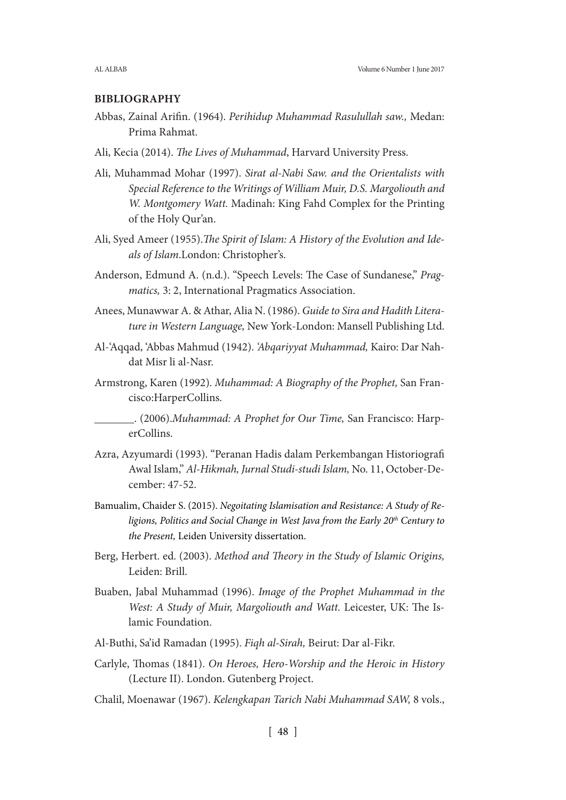### **BIBLIOGRAPHY**

- Abbas, Zainal Arifin. (1964). *Perihidup Muhammad Rasulullah saw.,* Medan: Prima Rahmat.
- Ali, Kecia (2014). *The Lives of Muhammad*, Harvard University Press.
- Ali, Muhammad Mohar (1997). *Sirat al-Nabi Saw. and the Orientalists with Special Reference to the Writings of William Muir, D.S. Margoliouth and W. Montgomery Watt.* Madinah: King Fahd Complex for the Printing of the Holy Qur'an.
- Ali, Syed Ameer (1955).*The Spirit of Islam: A History of the Evolution and Ideals of Islam*.London: Christopher's.
- Anderson, Edmund A. (n.d.). "Speech Levels: The Case of Sundanese," *Pragmatics,* 3: 2, International Pragmatics Association.
- Anees, Munawwar A. & Athar, Alia N. (1986). *Guide to Sira and Hadith Literature in Western Language,* New York-London: Mansell Publishing Ltd.
- Al-'Aqqad, 'Abbas Mahmud (1942). *'Abqariyyat Muhammad,* Kairo: Dar Nahdat Misr li al-Nasr.
- Armstrong, Karen (1992). *Muhammad: A Biography of the Prophet,* San Francisco:HarperCollins.
- \_\_\_\_\_\_\_. (2006).*Muhammad: A Prophet for Our Time,* San Francisco: HarperCollins.
- Azra, Azyumardi (1993). "Peranan Hadis dalam Perkembangan Historiografi Awal Islam," *Al-Hikmah, Jurnal Studi-studi Islam,* No. 11, October-December: 47-52.
- Bamualim, Chaider S. (2015). *Negoitating Islamisation and Resistance: A Study of Religions, Politics and Social Change in West Java from the Early 20th Century to the Present,* Leiden University dissertation.
- Berg, Herbert. ed. (2003). *Method and Theory in the Study of Islamic Origins,* Leiden: Brill.
- Buaben, Jabal Muhammad (1996). *Image of the Prophet Muhammad in the West: A Study of Muir, Margoliouth and Watt.* Leicester, UK: The Islamic Foundation.
- Al-Buthi, Sa'id Ramadan (1995). *Fiqh al-Sirah,* Beirut: Dar al-Fikr.
- Carlyle, Thomas (1841). *On Heroes, Hero-Worship and the Heroic in History*  (Lecture II). London. Gutenberg Project.
- Chalil, Moenawar (1967). *Kelengkapan Tarich Nabi Muhammad SAW,* 8 vols.,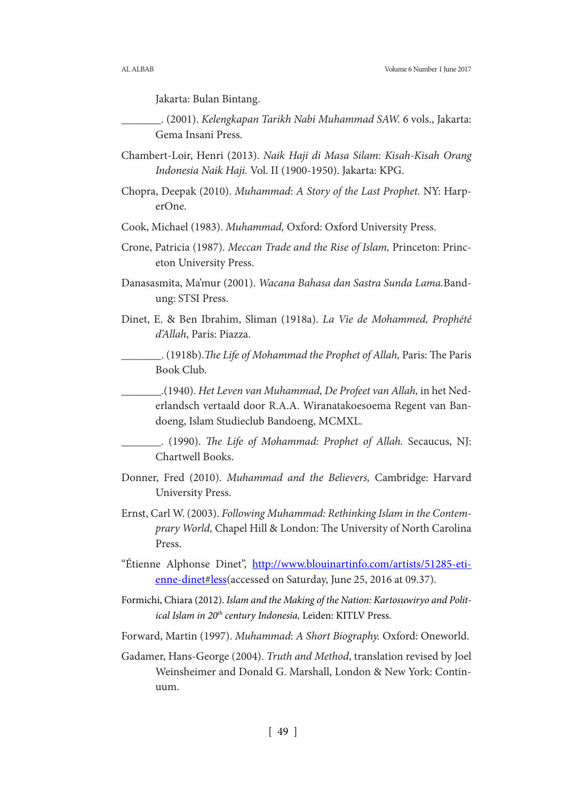Jakarta: Bulan Bintang.

- \_\_\_\_\_\_\_. (2001). *Kelengkapan Tarikh Nabi Muhammad SAW.* 6 vols., Jakarta: Gema Insani Press.
- Chambert-Loir, Henri (2013). *Naik Haji di Masa Silam: Kisah-Kisah Orang Indonesia Naik Haji.* Vol. II (1900-1950). Jakarta: KPG.
- Chopra, Deepak (2010). *Muhammad*: *A Story of the Last Prophet.* NY: HarperOne.
- Cook, Michael (1983). *Muhammad,* Oxford: Oxford University Press.
- Crone, Patricia (1987). *Meccan Trade and the Rise of Islam,* Princeton: Princeton University Press.
- Danasasmita, Ma'mur (2001). *Wacana Bahasa dan Sastra Sunda Lama.*Bandung: STSI Press.
- Dinet, E. & Ben Ibrahim, Sliman (1918a). *La Vie de Mohammed, Prophété d'Allah*, Paris: Piazza.
- \_\_\_\_\_\_\_. (1918b).*The Life of Mohammad the Prophet of Allah,* Paris: The Paris Book Club.
	- \_\_\_\_\_\_\_.(1940). *Het Leven van Muhammad, De Profeet van Allah,* in het Nederlandsch vertaald door R.A.A. Wiranatakoesoema Regent van Bandoeng, Islam Studieclub Bandoeng, MCMXL.
- \_\_\_\_\_\_\_. (1990). *The Life of Mohammad: Prophet of Allah.* Secaucus, NJ: Chartwell Books.
- Donner, Fred (2010). *Muhammad and the Believers,* Cambridge: Harvard University Press.
- Ernst, Carl W. (2003). *Following Muhammad: Rethinking Islam in the Contemprary World,* Chapel Hill & London: The University of North Carolina Press.
- "Étienne Alphonse Dinet", http://www.blouinartinfo.com/artists/51285-etienne-dinet#less(accessed on Saturday, June 25, 2016 at 09.37).
- Formichi, Chiara (2012). *Islam and the Making of the Nation: Kartosuwiryo and Political Islam in 20th century Indonesia,* Leiden: KITLV Press.
- Forward, Martin (1997). *Muhammad*: *A Short Biography.* Oxford: Oneworld.
- Gadamer, Hans-George (2004). *Truth and Method*, translation revised by Joel Weinsheimer and Donald G. Marshall, London & New York: Continuum.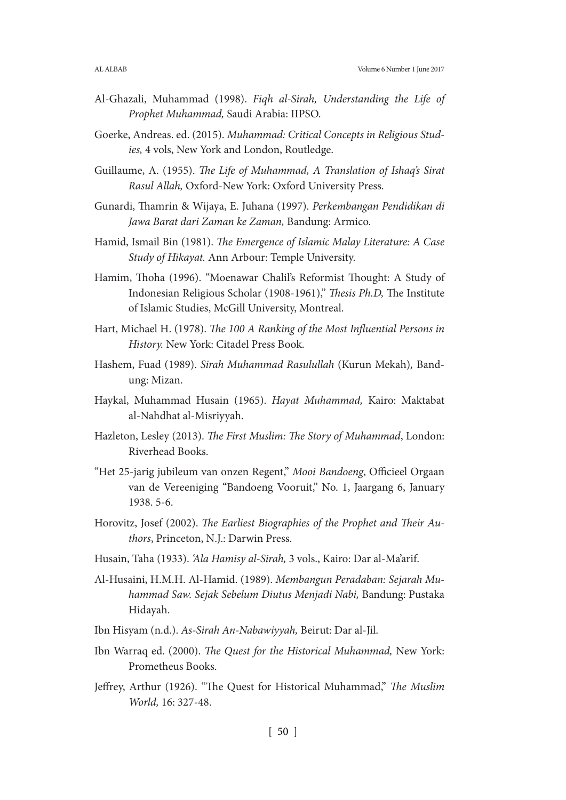- Al-Ghazali, Muhammad (1998). *Fiqh al-Sirah, Understanding the Life of Prophet Muhammad,* Saudi Arabia: IIPSO.
- Goerke, Andreas. ed. (2015). *Muhammad: Critical Concepts in Religious Studies,* 4 vols, New York and London, Routledge.
- Guillaume, A. (1955). *The Life of Muhammad, A Translation of Ishaq's Sirat Rasul Allah,* Oxford-New York: Oxford University Press.
- Gunardi, Thamrin & Wijaya, E. Juhana (1997). *Perkembangan Pendidikan di Jawa Barat dari Zaman ke Zaman,* Bandung: Armico.
- Hamid, Ismail Bin (1981). *The Emergence of Islamic Malay Literature: A Case Study of Hikayat.* Ann Arbour: Temple University.
- Hamim, Thoha (1996). "Moenawar Chalil's Reformist Thought: A Study of Indonesian Religious Scholar (1908-1961)," *Thesis Ph.D,* The Institute of Islamic Studies, McGill University, Montreal.
- Hart, Michael H. (1978). *The 100 A Ranking of the Most Influential Persons in History.* New York: Citadel Press Book.
- Hashem, Fuad (1989). *Sirah Muhammad Rasulullah* (Kurun Mekah)*,* Bandung: Mizan.
- Haykal, Muhammad Husain (1965). *Hayat Muhammad,* Kairo: Maktabat al-Nahdhat al-Misriyyah.
- Hazleton, Lesley (2013). *The First Muslim: The Story of Muhammad*, London: Riverhead Books.
- "Het 25-jarig jubileum van onzen Regent," *Mooi Bandoeng*, Officieel Orgaan van de Vereeniging "Bandoeng Vooruit," No. 1, Jaargang 6, January 1938. 5-6.
- Horovitz, Josef (2002). *The Earliest Biographies of the Prophet and Their Authors*, Princeton, N.J.: Darwin Press.
- Husain, Taha (1933). *'Ala Hamisy al-Sirah,* 3 vols., Kairo: Dar al-Ma'arif.
- Al-Husaini, H.M.H. Al-Hamid. (1989). *Membangun Peradaban: Sejarah Muhammad Saw. Sejak Sebelum Diutus Menjadi Nabi,* Bandung: Pustaka Hidayah.
- Ibn Hisyam (n.d.). *As-Sirah An-Nabawiyyah,* Beirut: Dar al-Jil.
- Ibn Warraq ed. (2000). *The Quest for the Historical Muhammad,* New York: Prometheus Books.
- Jeffrey, Arthur (1926). "The Quest for Historical Muhammad," *The Muslim World,* 16: 327-48.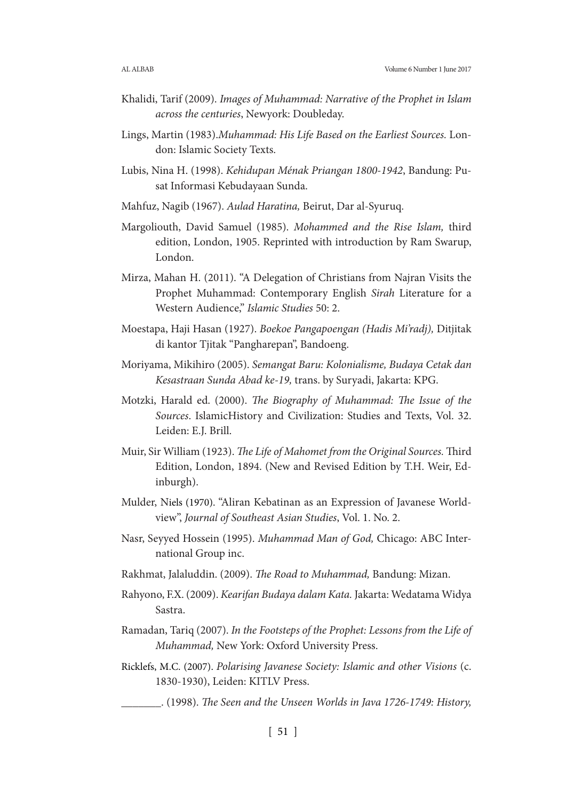- Khalidi, Tarif (2009). *Images of Muhammad: Narrative of the Prophet in Islam across the centuries*, Newyork: Doubleday.
- Lings, Martin (1983).*Muhammad: His Life Based on the Earliest Sources.* London: Islamic Society Texts.
- Lubis, Nina H. (1998). *Kehidupan Ménak Priangan 1800-1942*, Bandung: Pusat Informasi Kebudayaan Sunda.
- Mahfuz, Nagib (1967). *Aulad Haratina,* Beirut, Dar al-Syuruq.
- Margoliouth, David Samuel (1985). *Mohammed and the Rise Islam,* third edition, London, 1905. Reprinted with introduction by Ram Swarup, London.
- Mirza, Mahan H. (2011). "A Delegation of Christians from Najran Visits the Prophet Muhammad: Contemporary English *Sirah* Literature for a Western Audience," *Islamic Studies* 50: 2.
- Moestapa, Haji Hasan (1927). *Boekoe Pangapoengan (Hadis Mi'radj),* Ditjitak di kantor Tjitak "Pangharepan", Bandoeng.
- Moriyama, Mikihiro (2005). *Semangat Baru: Kolonialisme, Budaya Cetak dan Kesastraan Sunda Abad ke-19,* trans. by Suryadi, Jakarta: KPG.
- Motzki, Harald ed. (2000). *The Biography of Muhammad: The Issue of the Sources*. IslamicHistory and Civilization: Studies and Texts, Vol. 32. Leiden: E.J. Brill.
- Muir, Sir William (1923). *The Life of Mahomet from the Original Sources.* Third Edition, London, 1894. (New and Revised Edition by T.H. Weir, Edinburgh).
- Mulder, Niels (1970). "Aliran Kebatinan as an Expression of Javanese Worldview", *Journal of Southeast Asian Studies*, Vol. 1. No. 2.
- Nasr, Seyyed Hossein (1995). *Muhammad Man of God,* Chicago: ABC International Group inc.
- Rakhmat, Jalaluddin. (2009). *The Road to Muhammad,* Bandung: Mizan.
- Rahyono, F.X. (2009). *Kearifan Budaya dalam Kata.* Jakarta: Wedatama Widya Sastra.
- Ramadan, Tariq (2007). *In the Footsteps of the Prophet: Lessons from the Life of Muhammad,* New York: Oxford University Press.
- Ricklefs, M.C. (2007). *Polarising Javanese Society: Islamic and other Visions* (c. 1830-1930), Leiden: KITLV Press.
	- \_\_\_\_\_\_\_. (1998). *The Seen and the Unseen Worlds in Java 1726-1749: History,*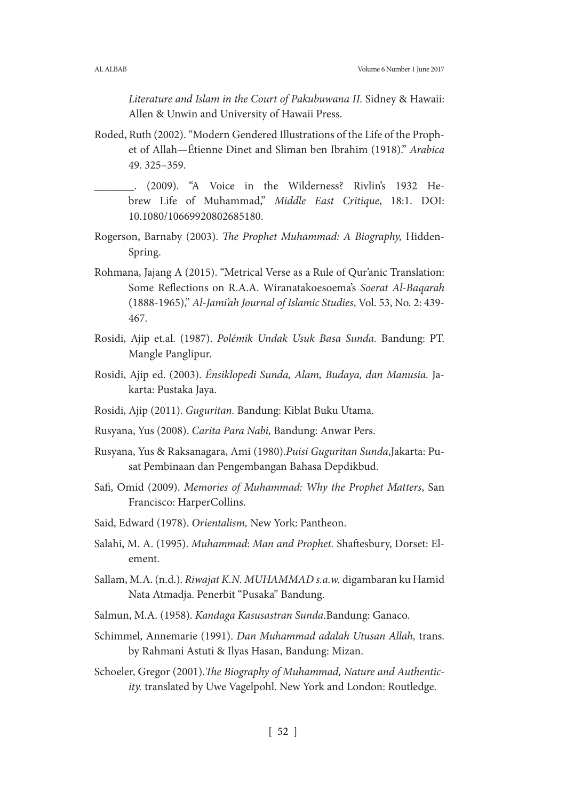*Literature and Islam in the Court of Pakubuwana II.* Sidney & Hawaii: Allen & Unwin and University of Hawaii Press.

- Roded, Ruth (2002). "Modern Gendered Illustrations of the Life of the Prophet of Allah—Étienne Dinet and Sliman ben Ibrahim (1918)." *Arabica* 49. 325–359.
- \_\_\_\_\_\_\_. (2009). "A Voice in the Wilderness? Rivlin's 1932 Hebrew Life of Muhammad," *Middle East Critique*, 18:1. DOI: 10.1080/10669920802685180.
- Rogerson, Barnaby (2003). *The Prophet Muhammad: A Biography,* Hidden-Spring.
- Rohmana, Jajang A (2015). "Metrical Verse as a Rule of Qur'anic Translation: Some Reflections on R.A.A. Wiranatakoesoema's *Soerat Al-Baqarah*  (1888-1965)," *Al-Jami'ah Journal of Islamic Studies*, Vol. 53, No. 2: 439- 467.
- Rosidi, Ajip et.al. (1987). *Polémik Undak Usuk Basa Sunda.* Bandung: PT. Mangle Panglipur.
- Rosidi, Ajip ed. (2003). *Énsiklopedi Sunda, Alam, Budaya, dan Manusia.* Jakarta: Pustaka Jaya.
- Rosidi, Ajip (2011). *Guguritan.* Bandung: Kiblat Buku Utama.
- Rusyana, Yus (2008). *Carita Para Nabi,* Bandung: Anwar Pers.
- Rusyana, Yus & Raksanagara, Ami (1980).*Puisi Guguritan Sunda*,Jakarta: Pusat Pembinaan dan Pengembangan Bahasa Depdikbud.
- Safi, Omid (2009). *Memories of Muhammad: Why the Prophet Matters*, San Francisco: HarperCollins.
- Said, Edward (1978). *Orientalism,* New York: Pantheon.
- Salahi, M. A. (1995). *Muhammad*: *Man and Prophet.* Shaftesbury, Dorset: Element.
- Sallam, M.A. (n.d.). *Riwajat K.N. MUHAMMAD s.a.w.* digambaran ku Hamid Nata Atmadja. Penerbit "Pusaka" Bandung.
- Salmun, M.A. (1958). *Kandaga Kasusastran Sunda.*Bandung: Ganaco.
- Schimmel, Annemarie (1991). *Dan Muhammad adalah Utusan Allah,* trans. by Rahmani Astuti & Ilyas Hasan, Bandung: Mizan.
- Schoeler, Gregor (2001).*The Biography of Muhammad, Nature and Authenticity.* translated by Uwe Vagelpohl. New York and London: Routledge.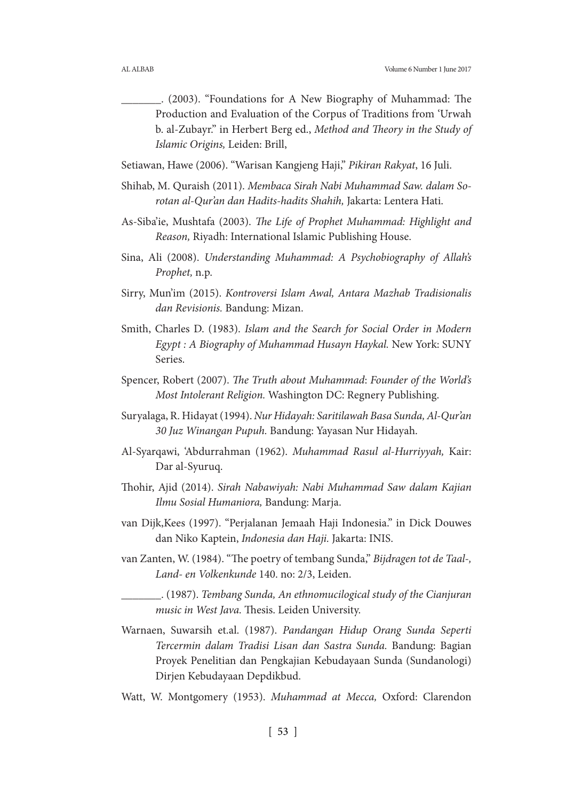- \_\_\_\_\_\_\_. (2003). "Foundations for A New Biography of Muhammad: The Production and Evaluation of the Corpus of Traditions from 'Urwah b. al-Zubayr." in Herbert Berg ed., *Method and Theory in the Study of Islamic Origins,* Leiden: Brill,
- Setiawan, Hawe (2006). "Warisan Kangjeng Haji," *Pikiran Rakyat*, 16 Juli.
- Shihab, M. Quraish (2011). *Membaca Sirah Nabi Muhammad Saw. dalam Sorotan al-Qur'an dan Hadits-hadits Shahih,* Jakarta: Lentera Hati.
- As-Siba'ie, Mushtafa (2003). *The Life of Prophet Muhammad: Highlight and Reason,* Riyadh: International Islamic Publishing House.
- Sina, Ali (2008). *Understanding Muhammad: A Psychobiography of Allah's Prophet,* n.p.
- Sirry, Mun'im (2015). *Kontroversi Islam Awal, Antara Mazhab Tradisionalis dan Revisionis.* Bandung: Mizan.
- Smith, Charles D. (1983). *Islam and the Search for Social Order in Modern Egypt : A Biography of Muhammad Husayn Haykal.* New York: SUNY Series.
- Spencer, Robert (2007). *The Truth about Muhammad*: *Founder of the World's Most Intolerant Religion.* Washington DC: Regnery Publishing.
- Suryalaga, R. Hidayat (1994). *Nur Hidayah: Saritilawah Basa Sunda, Al-Qur'an 30 Juz Winangan Pupuh.* Bandung: Yayasan Nur Hidayah.
- Al-Syarqawi, 'Abdurrahman (1962). *Muhammad Rasul al-Hurriyyah,* Kair: Dar al-Syuruq.
- Thohir, Ajid (2014). *Sirah Nabawiyah: Nabi Muhammad Saw dalam Kajian Ilmu Sosial Humaniora,* Bandung: Marja.
- van Dijk,Kees (1997). "Perjalanan Jemaah Haji Indonesia." in Dick Douwes dan Niko Kaptein, *Indonesia dan Haji.* Jakarta: INIS.
- van Zanten, W. (1984). "The poetry of tembang Sunda," *Bijdragen tot de Taal-, Land- en Volkenkunde* 140. no: 2/3, Leiden.
	- \_\_\_\_\_\_\_. (1987). *Tembang Sunda, An ethnomucilogical study of the Cianjuran music in West Java.* Thesis. Leiden University.
- Warnaen, Suwarsih et.al. (1987). *Pandangan Hidup Orang Sunda Seperti Tercermin dalam Tradisi Lisan dan Sastra Sunda.* Bandung: Bagian Proyek Penelitian dan Pengkajian Kebudayaan Sunda (Sundanologi) Dirjen Kebudayaan Depdikbud.
- Watt, W. Montgomery (1953). *Muhammad at Mecca,* Oxford: Clarendon